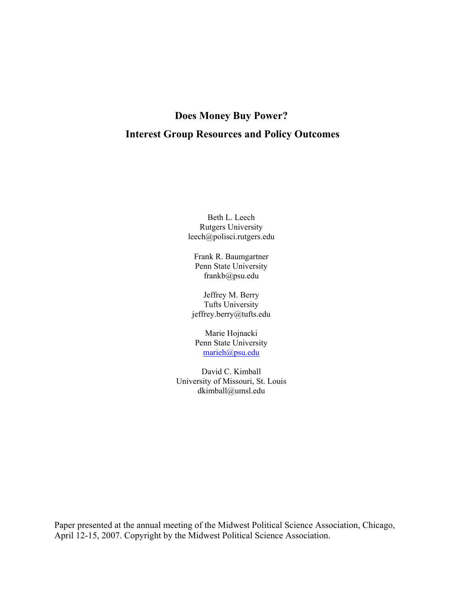# **Does Money Buy Power? Interest Group Resources and Policy Outcomes**

Beth L. Leech Rutgers University leech@polisci.rutgers.edu

Frank R. Baumgartner Penn State University frankb@psu.edu

Jeffrey M. Berry Tufts University jeffrey.berry@tufts.edu

Marie Hojnacki Penn State University marieh@psu.edu

David C. Kimball University of Missouri, St. Louis dkimball@umsl.edu

Paper presented at the annual meeting of the Midwest Political Science Association, Chicago, April 12-15, 2007. Copyright by the Midwest Political Science Association.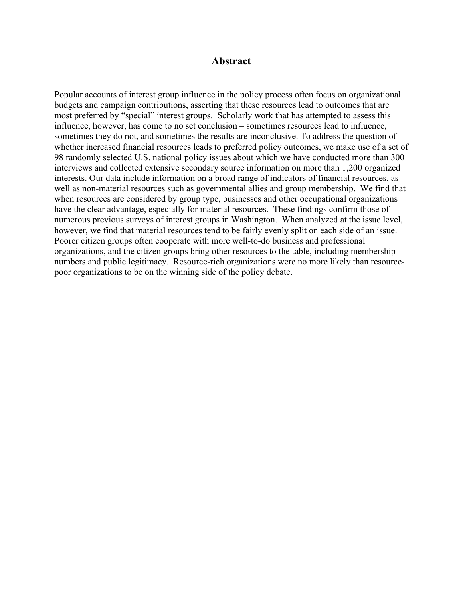# **Abstract**

Popular accounts of interest group influence in the policy process often focus on organizational budgets and campaign contributions, asserting that these resources lead to outcomes that are most preferred by "special" interest groups. Scholarly work that has attempted to assess this influence, however, has come to no set conclusion – sometimes resources lead to influence, sometimes they do not, and sometimes the results are inconclusive. To address the question of whether increased financial resources leads to preferred policy outcomes, we make use of a set of 98 randomly selected U.S. national policy issues about which we have conducted more than 300 interviews and collected extensive secondary source information on more than 1,200 organized interests. Our data include information on a broad range of indicators of financial resources, as well as non-material resources such as governmental allies and group membership. We find that when resources are considered by group type, businesses and other occupational organizations have the clear advantage, especially for material resources. These findings confirm those of numerous previous surveys of interest groups in Washington. When analyzed at the issue level, however, we find that material resources tend to be fairly evenly split on each side of an issue. Poorer citizen groups often cooperate with more well-to-do business and professional organizations, and the citizen groups bring other resources to the table, including membership numbers and public legitimacy. Resource-rich organizations were no more likely than resourcepoor organizations to be on the winning side of the policy debate.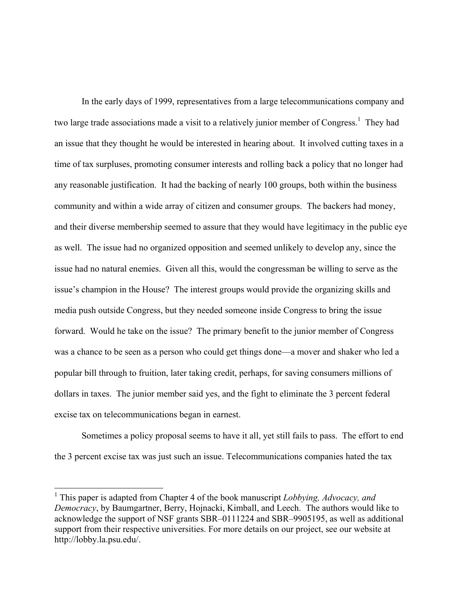In the early days of 1999, representatives from a large telecommunications company and two large trade associations made a visit to a relatively junior member of Congress.<sup>1</sup> They had an issue that they thought he would be interested in hearing about. It involved cutting taxes in a time of tax surpluses, promoting consumer interests and rolling back a policy that no longer had any reasonable justification. It had the backing of nearly 100 groups, both within the business community and within a wide array of citizen and consumer groups. The backers had money, and their diverse membership seemed to assure that they would have legitimacy in the public eye as well. The issue had no organized opposition and seemed unlikely to develop any, since the issue had no natural enemies. Given all this, would the congressman be willing to serve as the issue's champion in the House? The interest groups would provide the organizing skills and media push outside Congress, but they needed someone inside Congress to bring the issue forward. Would he take on the issue? The primary benefit to the junior member of Congress was a chance to be seen as a person who could get things done—a mover and shaker who led a popular bill through to fruition, later taking credit, perhaps, for saving consumers millions of dollars in taxes. The junior member said yes, and the fight to eliminate the 3 percent federal excise tax on telecommunications began in earnest.

Sometimes a policy proposal seems to have it all, yet still fails to pass. The effort to end the 3 percent excise tax was just such an issue. Telecommunications companies hated the tax

 $\overline{a}$ 

<sup>&</sup>lt;sup>1</sup> This paper is adapted from Chapter 4 of the book manuscript *Lobbying, Advocacy, and Democracy*, by Baumgartner, Berry, Hojnacki, Kimball, and Leech. The authors would like to acknowledge the support of NSF grants SBR–0111224 and SBR–9905195, as well as additional support from their respective universities. For more details on our project, see our website at http://lobby.la.psu.edu/.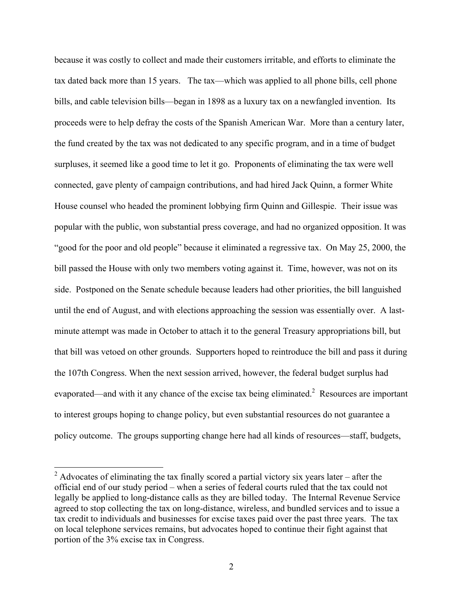because it was costly to collect and made their customers irritable, and efforts to eliminate the tax dated back more than 15 years. The tax—which was applied to all phone bills, cell phone bills, and cable television bills—began in 1898 as a luxury tax on a newfangled invention. Its proceeds were to help defray the costs of the Spanish American War. More than a century later, the fund created by the tax was not dedicated to any specific program, and in a time of budget surpluses, it seemed like a good time to let it go. Proponents of eliminating the tax were well connected, gave plenty of campaign contributions, and had hired Jack Quinn, a former White House counsel who headed the prominent lobbying firm Quinn and Gillespie. Their issue was popular with the public, won substantial press coverage, and had no organized opposition. It was "good for the poor and old people" because it eliminated a regressive tax. On May 25, 2000, the bill passed the House with only two members voting against it. Time, however, was not on its side. Postponed on the Senate schedule because leaders had other priorities, the bill languished until the end of August, and with elections approaching the session was essentially over. A lastminute attempt was made in October to attach it to the general Treasury appropriations bill, but that bill was vetoed on other grounds. Supporters hoped to reintroduce the bill and pass it during the 107th Congress. When the next session arrived, however, the federal budget surplus had evaporated—and with it any chance of the excise tax being eliminated. $2$  Resources are important to interest groups hoping to change policy, but even substantial resources do not guarantee a policy outcome. The groups supporting change here had all kinds of resources—staff, budgets,

 $\overline{a}$ 

<sup>&</sup>lt;sup>2</sup> Advocates of eliminating the tax finally scored a partial victory six years later – after the official end of our study period – when a series of federal courts ruled that the tax could not legally be applied to long-distance calls as they are billed today. The Internal Revenue Service agreed to stop collecting the tax on long-distance, wireless, and bundled services and to issue a tax credit to individuals and businesses for excise taxes paid over the past three years. The tax on local telephone services remains, but advocates hoped to continue their fight against that portion of the 3% excise tax in Congress.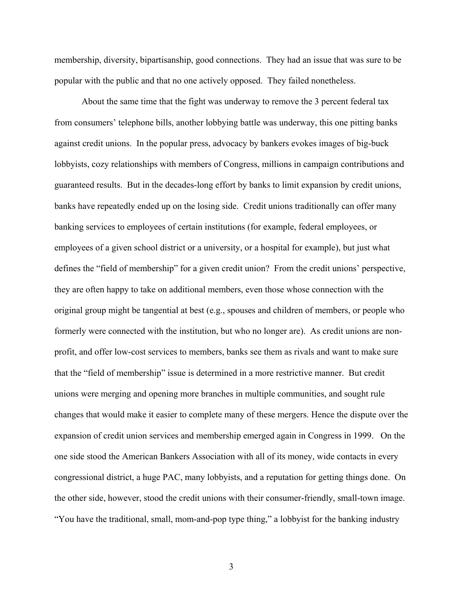membership, diversity, bipartisanship, good connections. They had an issue that was sure to be popular with the public and that no one actively opposed. They failed nonetheless.

About the same time that the fight was underway to remove the 3 percent federal tax from consumers' telephone bills, another lobbying battle was underway, this one pitting banks against credit unions. In the popular press, advocacy by bankers evokes images of big-buck lobbyists, cozy relationships with members of Congress, millions in campaign contributions and guaranteed results. But in the decades-long effort by banks to limit expansion by credit unions, banks have repeatedly ended up on the losing side. Credit unions traditionally can offer many banking services to employees of certain institutions (for example, federal employees, or employees of a given school district or a university, or a hospital for example), but just what defines the "field of membership" for a given credit union? From the credit unions' perspective, they are often happy to take on additional members, even those whose connection with the original group might be tangential at best (e.g., spouses and children of members, or people who formerly were connected with the institution, but who no longer are). As credit unions are nonprofit, and offer low-cost services to members, banks see them as rivals and want to make sure that the "field of membership" issue is determined in a more restrictive manner. But credit unions were merging and opening more branches in multiple communities, and sought rule changes that would make it easier to complete many of these mergers. Hence the dispute over the expansion of credit union services and membership emerged again in Congress in 1999. On the one side stood the American Bankers Association with all of its money, wide contacts in every congressional district, a huge PAC, many lobbyists, and a reputation for getting things done. On the other side, however, stood the credit unions with their consumer-friendly, small-town image. "You have the traditional, small, mom-and-pop type thing," a lobbyist for the banking industry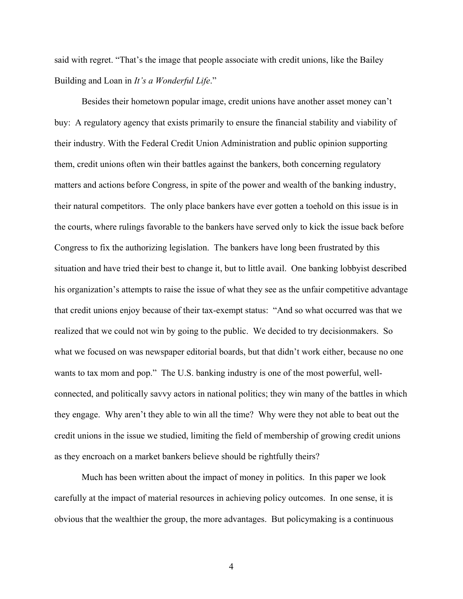said with regret. "That's the image that people associate with credit unions, like the Bailey Building and Loan in *It's a Wonderful Life*."

Besides their hometown popular image, credit unions have another asset money can't buy: A regulatory agency that exists primarily to ensure the financial stability and viability of their industry. With the Federal Credit Union Administration and public opinion supporting them, credit unions often win their battles against the bankers, both concerning regulatory matters and actions before Congress, in spite of the power and wealth of the banking industry, their natural competitors. The only place bankers have ever gotten a toehold on this issue is in the courts, where rulings favorable to the bankers have served only to kick the issue back before Congress to fix the authorizing legislation. The bankers have long been frustrated by this situation and have tried their best to change it, but to little avail. One banking lobbyist described his organization's attempts to raise the issue of what they see as the unfair competitive advantage that credit unions enjoy because of their tax-exempt status: "And so what occurred was that we realized that we could not win by going to the public. We decided to try decisionmakers. So what we focused on was newspaper editorial boards, but that didn't work either, because no one wants to tax mom and pop." The U.S. banking industry is one of the most powerful, wellconnected, and politically savvy actors in national politics; they win many of the battles in which they engage. Why aren't they able to win all the time? Why were they not able to beat out the credit unions in the issue we studied, limiting the field of membership of growing credit unions as they encroach on a market bankers believe should be rightfully theirs?

Much has been written about the impact of money in politics. In this paper we look carefully at the impact of material resources in achieving policy outcomes. In one sense, it is obvious that the wealthier the group, the more advantages. But policymaking is a continuous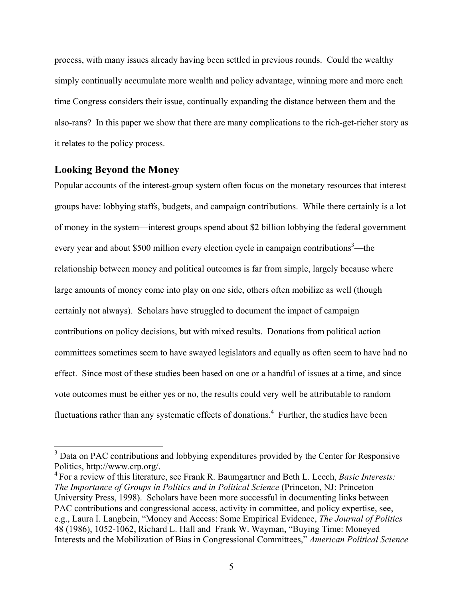process, with many issues already having been settled in previous rounds. Could the wealthy simply continually accumulate more wealth and policy advantage, winning more and more each time Congress considers their issue, continually expanding the distance between them and the also-rans? In this paper we show that there are many complications to the rich-get-richer story as it relates to the policy process.

# **Looking Beyond the Money**

Popular accounts of the interest-group system often focus on the monetary resources that interest groups have: lobbying staffs, budgets, and campaign contributions. While there certainly is a lot of money in the system—interest groups spend about \$2 billion lobbying the federal government every year and about \$500 million every election cycle in campaign contributions<sup>3</sup>—the relationship between money and political outcomes is far from simple, largely because where large amounts of money come into play on one side, others often mobilize as well (though certainly not always). Scholars have struggled to document the impact of campaign contributions on policy decisions, but with mixed results. Donations from political action committees sometimes seem to have swayed legislators and equally as often seem to have had no effect. Since most of these studies been based on one or a handful of issues at a time, and since vote outcomes must be either yes or no, the results could very well be attributable to random fluctuations rather than any systematic effects of donations.<sup>4</sup> Further, the studies have been

<sup>&</sup>lt;sup>3</sup> Data on PAC contributions and lobbying expenditures provided by the Center for Responsive Politics, http://www.crp.org/.

<sup>4</sup> For a review of this literature, see Frank R. Baumgartner and Beth L. Leech, *Basic Interests: The Importance of Groups in Politics and in Political Science* (Princeton, NJ: Princeton University Press, 1998). Scholars have been more successful in documenting links between PAC contributions and congressional access, activity in committee, and policy expertise, see, e.g., Laura I. Langbein, "Money and Access: Some Empirical Evidence, *The Journal of Politics* 48 (1986), 1052-1062, Richard L. Hall and Frank W. Wayman, "Buying Time: Moneyed Interests and the Mobilization of Bias in Congressional Committees," *American Political Science*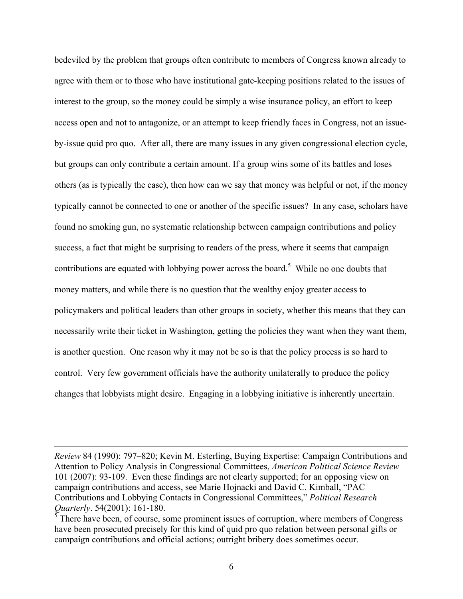bedeviled by the problem that groups often contribute to members of Congress known already to agree with them or to those who have institutional gate-keeping positions related to the issues of interest to the group, so the money could be simply a wise insurance policy, an effort to keep access open and not to antagonize, or an attempt to keep friendly faces in Congress, not an issueby-issue quid pro quo. After all, there are many issues in any given congressional election cycle, but groups can only contribute a certain amount. If a group wins some of its battles and loses others (as is typically the case), then how can we say that money was helpful or not, if the money typically cannot be connected to one or another of the specific issues? In any case, scholars have found no smoking gun, no systematic relationship between campaign contributions and policy success, a fact that might be surprising to readers of the press, where it seems that campaign contributions are equated with lobbying power across the board.<sup>5</sup> While no one doubts that money matters, and while there is no question that the wealthy enjoy greater access to policymakers and political leaders than other groups in society, whether this means that they can necessarily write their ticket in Washington, getting the policies they want when they want them, is another question. One reason why it may not be so is that the policy process is so hard to control. Very few government officials have the authority unilaterally to produce the policy changes that lobbyists might desire. Engaging in a lobbying initiative is inherently uncertain.

*Review* 84 (1990): 797–820; Kevin M. Esterling, Buying Expertise: Campaign Contributions and Attention to Policy Analysis in Congressional Committees, *American Political Science Review* 101 (2007): 93-109. Even these findings are not clearly supported; for an opposing view on campaign contributions and access, see Marie Hojnacki and David C. Kimball, "PAC Contributions and Lobbying Contacts in Congressional Committees," *Political Research Quarterly.* 54(2001): 161-180.

 $\overline{a}$ 

 There have been, of course, some prominent issues of corruption, where members of Congress have been prosecuted precisely for this kind of quid pro quo relation between personal gifts or campaign contributions and official actions; outright bribery does sometimes occur.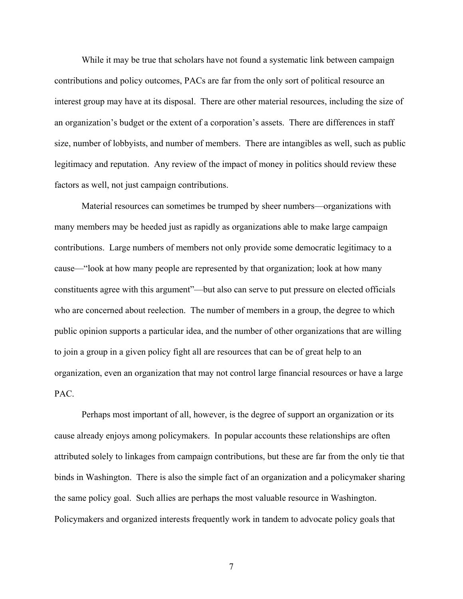While it may be true that scholars have not found a systematic link between campaign contributions and policy outcomes, PACs are far from the only sort of political resource an interest group may have at its disposal. There are other material resources, including the size of an organization's budget or the extent of a corporation's assets. There are differences in staff size, number of lobbyists, and number of members. There are intangibles as well, such as public legitimacy and reputation. Any review of the impact of money in politics should review these factors as well, not just campaign contributions.

Material resources can sometimes be trumped by sheer numbers—organizations with many members may be heeded just as rapidly as organizations able to make large campaign contributions. Large numbers of members not only provide some democratic legitimacy to a cause—"look at how many people are represented by that organization; look at how many constituents agree with this argument"—but also can serve to put pressure on elected officials who are concerned about reelection. The number of members in a group, the degree to which public opinion supports a particular idea, and the number of other organizations that are willing to join a group in a given policy fight all are resources that can be of great help to an organization, even an organization that may not control large financial resources or have a large PAC.

Perhaps most important of all, however, is the degree of support an organization or its cause already enjoys among policymakers. In popular accounts these relationships are often attributed solely to linkages from campaign contributions, but these are far from the only tie that binds in Washington. There is also the simple fact of an organization and a policymaker sharing the same policy goal. Such allies are perhaps the most valuable resource in Washington. Policymakers and organized interests frequently work in tandem to advocate policy goals that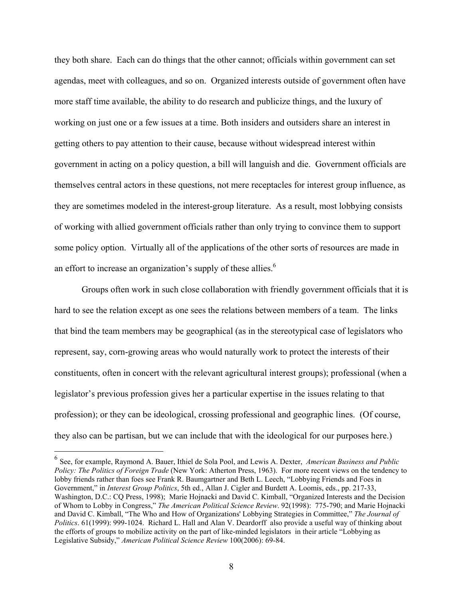they both share. Each can do things that the other cannot; officials within government can set agendas, meet with colleagues, and so on. Organized interests outside of government often have more staff time available, the ability to do research and publicize things, and the luxury of working on just one or a few issues at a time. Both insiders and outsiders share an interest in getting others to pay attention to their cause, because without widespread interest within government in acting on a policy question, a bill will languish and die. Government officials are themselves central actors in these questions, not mere receptacles for interest group influence, as they are sometimes modeled in the interest-group literature. As a result, most lobbying consists of working with allied government officials rather than only trying to convince them to support some policy option. Virtually all of the applications of the other sorts of resources are made in an effort to increase an organization's supply of these allies.<sup>6</sup>

Groups often work in such close collaboration with friendly government officials that it is hard to see the relation except as one sees the relations between members of a team. The links that bind the team members may be geographical (as in the stereotypical case of legislators who represent, say, corn-growing areas who would naturally work to protect the interests of their constituents, often in concert with the relevant agricultural interest groups); professional (when a legislator's previous profession gives her a particular expertise in the issues relating to that profession); or they can be ideological, crossing professional and geographic lines. (Of course, they also can be partisan, but we can include that with the ideological for our purposes here.)

 $\overline{a}$ 

<sup>6</sup> See, for example, Raymond A. Bauer, Ithiel de Sola Pool, and Lewis A. Dexter, *American Business and Public Policy: The Politics of Foreign Trade* (New York: Atherton Press, 1963). For more recent views on the tendency to lobby friends rather than foes see Frank R. Baumgartner and Beth L. Leech, "Lobbying Friends and Foes in Government," in *Interest Group Politics*, 5th ed., Allan J. Cigler and Burdett A. Loomis, eds., pp. 217-33, Washington, D.C.: CQ Press, 1998); Marie Hojnacki and David C. Kimball, "Organized Interests and the Decision of Whom to Lobby in Congress," *The American Political Science Review*. 92(1998): 775-790; and Marie Hojnacki and David C. Kimball, "The Who and How of Organizations' Lobbying Strategies in Committee," *The Journal of Politics*. 61(1999): 999-1024. Richard L. Hall and Alan V. Deardorff also provide a useful way of thinking about the efforts of groups to mobilize activity on the part of like-minded legislators in their article "Lobbying as Legislative Subsidy," *American Political Science Review* 100(2006): 69-84.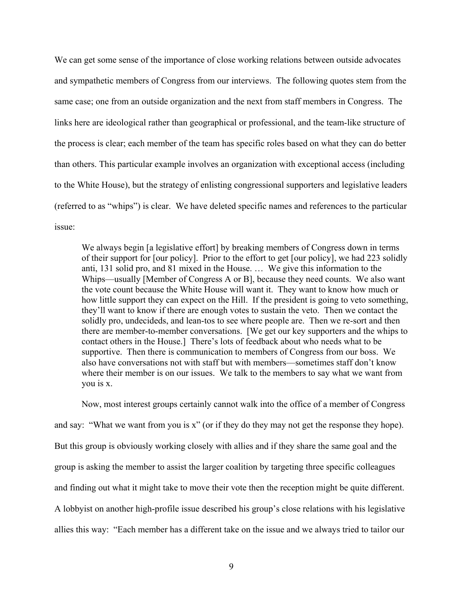We can get some sense of the importance of close working relations between outside advocates and sympathetic members of Congress from our interviews. The following quotes stem from the same case; one from an outside organization and the next from staff members in Congress. The links here are ideological rather than geographical or professional, and the team-like structure of the process is clear; each member of the team has specific roles based on what they can do better than others. This particular example involves an organization with exceptional access (including to the White House), but the strategy of enlisting congressional supporters and legislative leaders (referred to as "whips") is clear. We have deleted specific names and references to the particular issue:

We always begin [a legislative effort] by breaking members of Congress down in terms of their support for [our policy]. Prior to the effort to get [our policy], we had 223 solidly anti, 131 solid pro, and 81 mixed in the House. … We give this information to the Whips—usually [Member of Congress A or B], because they need counts. We also want the vote count because the White House will want it. They want to know how much or how little support they can expect on the Hill. If the president is going to veto something, they'll want to know if there are enough votes to sustain the veto. Then we contact the solidly pro, undecideds, and lean-tos to see where people are. Then we re-sort and then there are member-to-member conversations. [We get our key supporters and the whips to contact others in the House.] There's lots of feedback about who needs what to be supportive. Then there is communication to members of Congress from our boss. We also have conversations not with staff but with members—sometimes staff don't know where their member is on our issues. We talk to the members to say what we want from you is x.

Now, most interest groups certainly cannot walk into the office of a member of Congress and say: "What we want from you is x" (or if they do they may not get the response they hope). But this group is obviously working closely with allies and if they share the same goal and the group is asking the member to assist the larger coalition by targeting three specific colleagues and finding out what it might take to move their vote then the reception might be quite different. A lobbyist on another high-profile issue described his group's close relations with his legislative allies this way: "Each member has a different take on the issue and we always tried to tailor our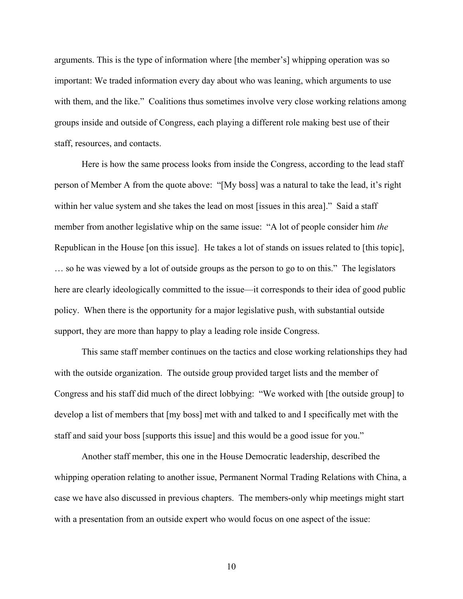arguments. This is the type of information where [the member's] whipping operation was so important: We traded information every day about who was leaning, which arguments to use with them, and the like." Coalitions thus sometimes involve very close working relations among groups inside and outside of Congress, each playing a different role making best use of their staff, resources, and contacts.

Here is how the same process looks from inside the Congress, according to the lead staff person of Member A from the quote above: "[My boss] was a natural to take the lead, it's right within her value system and she takes the lead on most [issues in this area]." Said a staff member from another legislative whip on the same issue: "A lot of people consider him *the* Republican in the House [on this issue]. He takes a lot of stands on issues related to [this topic], … so he was viewed by a lot of outside groups as the person to go to on this." The legislators here are clearly ideologically committed to the issue—it corresponds to their idea of good public policy. When there is the opportunity for a major legislative push, with substantial outside support, they are more than happy to play a leading role inside Congress.

This same staff member continues on the tactics and close working relationships they had with the outside organization. The outside group provided target lists and the member of Congress and his staff did much of the direct lobbying: "We worked with [the outside group] to develop a list of members that [my boss] met with and talked to and I specifically met with the staff and said your boss [supports this issue] and this would be a good issue for you."

Another staff member, this one in the House Democratic leadership, described the whipping operation relating to another issue, Permanent Normal Trading Relations with China, a case we have also discussed in previous chapters. The members-only whip meetings might start with a presentation from an outside expert who would focus on one aspect of the issue: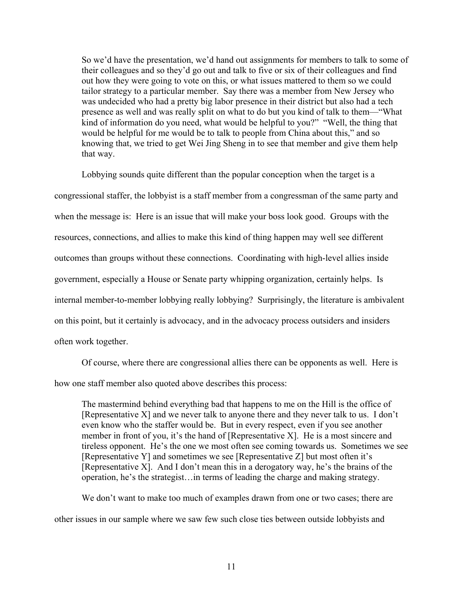So we'd have the presentation, we'd hand out assignments for members to talk to some of their colleagues and so they'd go out and talk to five or six of their colleagues and find out how they were going to vote on this, or what issues mattered to them so we could tailor strategy to a particular member. Say there was a member from New Jersey who was undecided who had a pretty big labor presence in their district but also had a tech presence as well and was really split on what to do but you kind of talk to them—"What kind of information do you need, what would be helpful to you?" "Well, the thing that would be helpful for me would be to talk to people from China about this," and so knowing that, we tried to get Wei Jing Sheng in to see that member and give them help that way.

Lobbying sounds quite different than the popular conception when the target is a congressional staffer, the lobbyist is a staff member from a congressman of the same party and when the message is: Here is an issue that will make your boss look good. Groups with the resources, connections, and allies to make this kind of thing happen may well see different outcomes than groups without these connections. Coordinating with high-level allies inside government, especially a House or Senate party whipping organization, certainly helps. Is internal member-to-member lobbying really lobbying? Surprisingly, the literature is ambivalent on this point, but it certainly is advocacy, and in the advocacy process outsiders and insiders often work together.

Of course, where there are congressional allies there can be opponents as well. Here is

how one staff member also quoted above describes this process:

The mastermind behind everything bad that happens to me on the Hill is the office of [Representative X] and we never talk to anyone there and they never talk to us. I don't even know who the staffer would be. But in every respect, even if you see another member in front of you, it's the hand of [Representative X]. He is a most sincere and tireless opponent. He's the one we most often see coming towards us. Sometimes we see [Representative Y] and sometimes we see [Representative Z] but most often it's [Representative X]. And I don't mean this in a derogatory way, he's the brains of the operation, he's the strategist…in terms of leading the charge and making strategy.

We don't want to make too much of examples drawn from one or two cases; there are other issues in our sample where we saw few such close ties between outside lobbyists and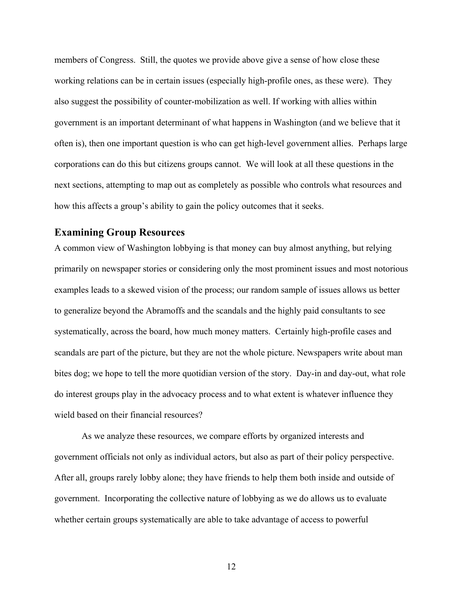members of Congress. Still, the quotes we provide above give a sense of how close these working relations can be in certain issues (especially high-profile ones, as these were). They also suggest the possibility of counter-mobilization as well. If working with allies within government is an important determinant of what happens in Washington (and we believe that it often is), then one important question is who can get high-level government allies. Perhaps large corporations can do this but citizens groups cannot. We will look at all these questions in the next sections, attempting to map out as completely as possible who controls what resources and how this affects a group's ability to gain the policy outcomes that it seeks.

# **Examining Group Resources**

A common view of Washington lobbying is that money can buy almost anything, but relying primarily on newspaper stories or considering only the most prominent issues and most notorious examples leads to a skewed vision of the process; our random sample of issues allows us better to generalize beyond the Abramoffs and the scandals and the highly paid consultants to see systematically, across the board, how much money matters. Certainly high-profile cases and scandals are part of the picture, but they are not the whole picture. Newspapers write about man bites dog; we hope to tell the more quotidian version of the story. Day-in and day-out, what role do interest groups play in the advocacy process and to what extent is whatever influence they wield based on their financial resources?

As we analyze these resources, we compare efforts by organized interests and government officials not only as individual actors, but also as part of their policy perspective. After all, groups rarely lobby alone; they have friends to help them both inside and outside of government. Incorporating the collective nature of lobbying as we do allows us to evaluate whether certain groups systematically are able to take advantage of access to powerful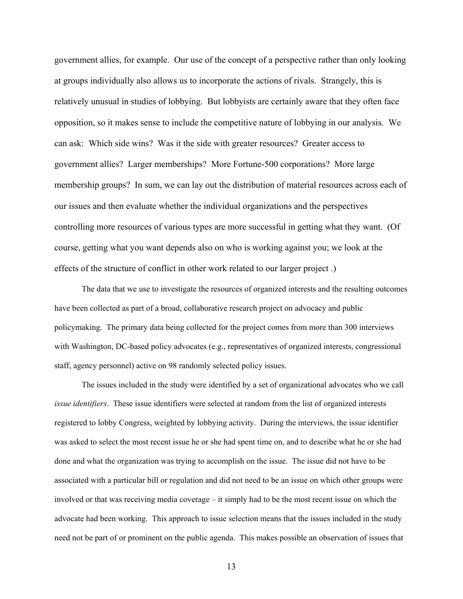government allies, for example. Our use of the concept of a perspective rather than only looking at groups individually also allows us to incorporate the actions of rivals. Strangely, this is relatively unusual in studies of lobbying. But lobbyists are certainly aware that they often face opposition, so it makes sense to include the competitive nature of lobbying in our analysis. We can ask: Which side wins? Was it the side with greater resources? Greater access to government allies? Larger memberships? More Fortune-500 corporations? More large membership groups? In sum, we can lay out the distribution of material resources across each of our issues and then evaluate whether the individual organizations and the perspectives controlling more resources of various types are more successful in getting what they want. (Of course, getting what you want depends also on who is working against you; we look at the effects of the structure of conflict in other work related to our larger project .)

The data that we use to investigate the resources of organized interests and the resulting outcomes have been collected as part of a broad, collaborative research project on advocacy and public policymaking. The primary data being collected for the project comes from more than 300 interviews with Washington, DC-based policy advocates (e.g., representatives of organized interests, congressional staff, agency personnel) active on 98 randomly selected policy issues.

 The issues included in the study were identified by a set of organizational advocates who we call *issue identifiers*. These issue identifiers were selected at random from the list of organized interests registered to lobby Congress, weighted by lobbying activity. During the interviews, the issue identifier was asked to select the most recent issue he or she had spent time on, and to describe what he or she had done and what the organization was trying to accomplish on the issue. The issue did not have to be associated with a particular bill or regulation and did not need to be an issue on which other groups were involved or that was receiving media coverage – it simply had to be the most recent issue on which the advocate had been working. This approach to issue selection means that the issues included in the study need not be part of or prominent on the public agenda. This makes possible an observation of issues that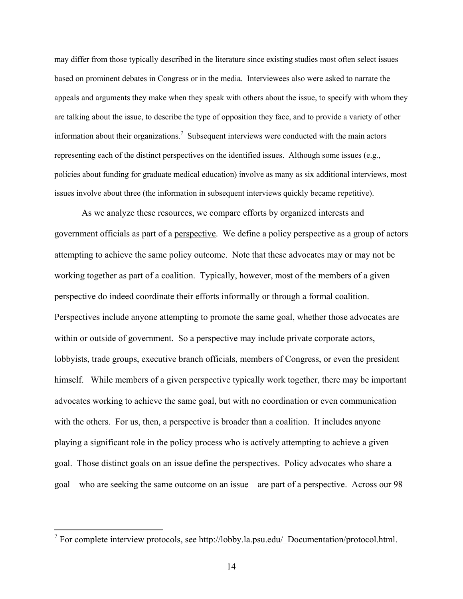may differ from those typically described in the literature since existing studies most often select issues based on prominent debates in Congress or in the media. Interviewees also were asked to narrate the appeals and arguments they make when they speak with others about the issue, to specify with whom they are talking about the issue, to describe the type of opposition they face, and to provide a variety of other information about their organizations.<sup>7</sup> Subsequent interviews were conducted with the main actors representing each of the distinct perspectives on the identified issues. Although some issues (e.g., policies about funding for graduate medical education) involve as many as six additional interviews, most issues involve about three (the information in subsequent interviews quickly became repetitive).

As we analyze these resources, we compare efforts by organized interests and government officials as part of a perspective. We define a policy perspective as a group of actors attempting to achieve the same policy outcome. Note that these advocates may or may not be working together as part of a coalition. Typically, however, most of the members of a given perspective do indeed coordinate their efforts informally or through a formal coalition. Perspectives include anyone attempting to promote the same goal, whether those advocates are within or outside of government. So a perspective may include private corporate actors, lobbyists, trade groups, executive branch officials, members of Congress, or even the president himself. While members of a given perspective typically work together, there may be important advocates working to achieve the same goal, but with no coordination or even communication with the others. For us, then, a perspective is broader than a coalition. It includes anyone playing a significant role in the policy process who is actively attempting to achieve a given goal. Those distinct goals on an issue define the perspectives. Policy advocates who share a goal – who are seeking the same outcome on an issue – are part of a perspective. Across our 98

<sup>&</sup>lt;sup>7</sup> For complete interview protocols, see http://lobby.la.psu.edu/ Documentation/protocol.html.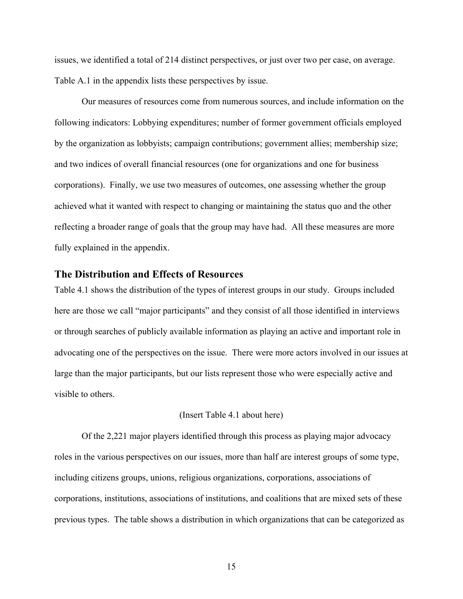issues, we identified a total of 214 distinct perspectives, or just over two per case, on average. Table A.1 in the appendix lists these perspectives by issue.

Our measures of resources come from numerous sources, and include information on the following indicators: Lobbying expenditures; number of former government officials employed by the organization as lobbyists; campaign contributions; government allies; membership size; and two indices of overall financial resources (one for organizations and one for business corporations). Finally, we use two measures of outcomes, one assessing whether the group achieved what it wanted with respect to changing or maintaining the status quo and the other reflecting a broader range of goals that the group may have had. All these measures are more fully explained in the appendix.

# **The Distribution and Effects of Resources**

Table 4.1 shows the distribution of the types of interest groups in our study. Groups included here are those we call "major participants" and they consist of all those identified in interviews or through searches of publicly available information as playing an active and important role in advocating one of the perspectives on the issue. There were more actors involved in our issues at large than the major participants, but our lists represent those who were especially active and visible to others.

#### (Insert Table 4.1 about here)

Of the 2,221 major players identified through this process as playing major advocacy roles in the various perspectives on our issues, more than half are interest groups of some type, including citizens groups, unions, religious organizations, corporations, associations of corporations, institutions, associations of institutions, and coalitions that are mixed sets of these previous types. The table shows a distribution in which organizations that can be categorized as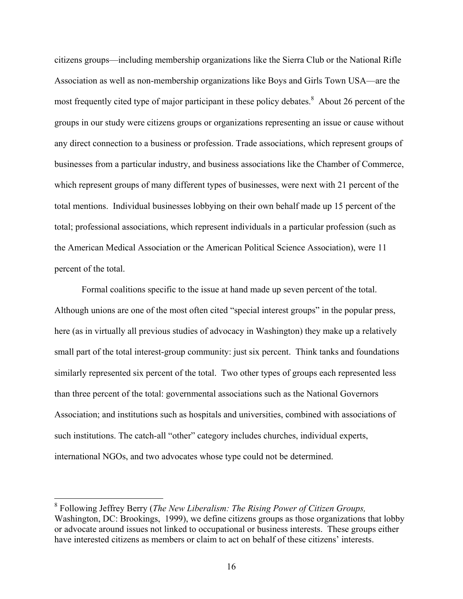citizens groups—including membership organizations like the Sierra Club or the National Rifle Association as well as non-membership organizations like Boys and Girls Town USA—are the most frequently cited type of major participant in these policy debates.<sup>8</sup> About 26 percent of the groups in our study were citizens groups or organizations representing an issue or cause without any direct connection to a business or profession. Trade associations, which represent groups of businesses from a particular industry, and business associations like the Chamber of Commerce, which represent groups of many different types of businesses, were next with 21 percent of the total mentions. Individual businesses lobbying on their own behalf made up 15 percent of the total; professional associations, which represent individuals in a particular profession (such as the American Medical Association or the American Political Science Association), were 11 percent of the total.

Formal coalitions specific to the issue at hand made up seven percent of the total. Although unions are one of the most often cited "special interest groups" in the popular press, here (as in virtually all previous studies of advocacy in Washington) they make up a relatively small part of the total interest-group community: just six percent. Think tanks and foundations similarly represented six percent of the total. Two other types of groups each represented less than three percent of the total: governmental associations such as the National Governors Association; and institutions such as hospitals and universities, combined with associations of such institutions. The catch-all "other" category includes churches, individual experts, international NGOs, and two advocates whose type could not be determined.

<sup>8</sup> Following Jeffrey Berry (*The New Liberalism: The Rising Power of Citizen Groups,*  Washington, DC: Brookings, 1999), we define citizens groups as those organizations that lobby or advocate around issues not linked to occupational or business interests. These groups either have interested citizens as members or claim to act on behalf of these citizens' interests.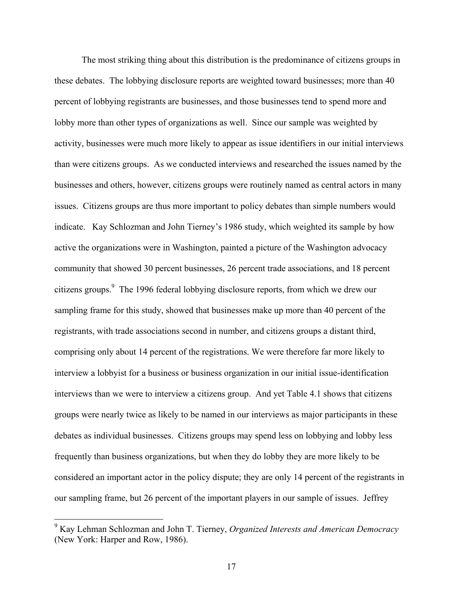The most striking thing about this distribution is the predominance of citizens groups in these debates. The lobbying disclosure reports are weighted toward businesses; more than 40 percent of lobbying registrants are businesses, and those businesses tend to spend more and lobby more than other types of organizations as well. Since our sample was weighted by activity, businesses were much more likely to appear as issue identifiers in our initial interviews than were citizens groups. As we conducted interviews and researched the issues named by the businesses and others, however, citizens groups were routinely named as central actors in many issues. Citizens groups are thus more important to policy debates than simple numbers would indicate. Kay Schlozman and John Tierney's 1986 study, which weighted its sample by how active the organizations were in Washington, painted a picture of the Washington advocacy community that showed 30 percent businesses, 26 percent trade associations, and 18 percent citizens groups.<sup>9</sup> The 1996 federal lobbying disclosure reports, from which we drew our sampling frame for this study, showed that businesses make up more than 40 percent of the registrants, with trade associations second in number, and citizens groups a distant third, comprising only about 14 percent of the registrations. We were therefore far more likely to interview a lobbyist for a business or business organization in our initial issue-identification interviews than we were to interview a citizens group. And yet Table 4.1 shows that citizens groups were nearly twice as likely to be named in our interviews as major participants in these debates as individual businesses. Citizens groups may spend less on lobbying and lobby less frequently than business organizations, but when they do lobby they are more likely to be considered an important actor in the policy dispute; they are only 14 percent of the registrants in our sampling frame, but 26 percent of the important players in our sample of issues. Jeffrey

 $\overline{a}$ 

<sup>9</sup> Kay Lehman Schlozman and John T. Tierney, *Organized Interests and American Democracy* (New York: Harper and Row, 1986).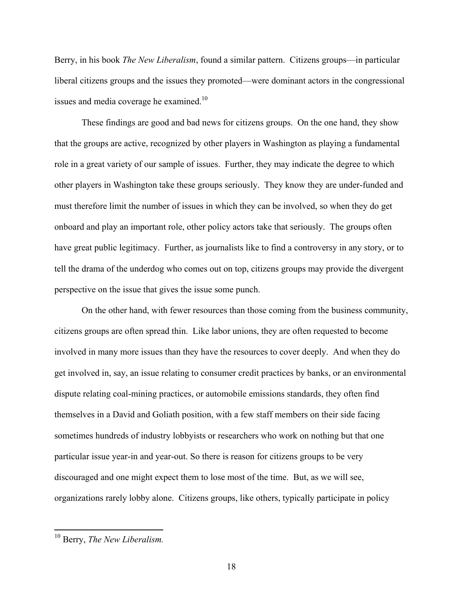Berry, in his book *The New Liberalism*, found a similar pattern. Citizens groups—in particular liberal citizens groups and the issues they promoted—were dominant actors in the congressional issues and media coverage he examined.<sup>10</sup>

These findings are good and bad news for citizens groups. On the one hand, they show that the groups are active, recognized by other players in Washington as playing a fundamental role in a great variety of our sample of issues. Further, they may indicate the degree to which other players in Washington take these groups seriously. They know they are under-funded and must therefore limit the number of issues in which they can be involved, so when they do get onboard and play an important role, other policy actors take that seriously. The groups often have great public legitimacy. Further, as journalists like to find a controversy in any story, or to tell the drama of the underdog who comes out on top, citizens groups may provide the divergent perspective on the issue that gives the issue some punch.

On the other hand, with fewer resources than those coming from the business community, citizens groups are often spread thin. Like labor unions, they are often requested to become involved in many more issues than they have the resources to cover deeply. And when they do get involved in, say, an issue relating to consumer credit practices by banks, or an environmental dispute relating coal-mining practices, or automobile emissions standards, they often find themselves in a David and Goliath position, with a few staff members on their side facing sometimes hundreds of industry lobbyists or researchers who work on nothing but that one particular issue year-in and year-out. So there is reason for citizens groups to be very discouraged and one might expect them to lose most of the time. But, as we will see, organizations rarely lobby alone. Citizens groups, like others, typically participate in policy

 $\overline{a}$ 

<sup>10</sup> Berry, *The New Liberalism.*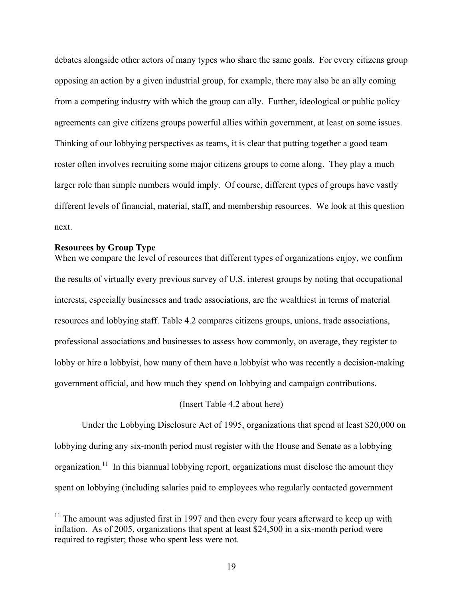debates alongside other actors of many types who share the same goals. For every citizens group opposing an action by a given industrial group, for example, there may also be an ally coming from a competing industry with which the group can ally. Further, ideological or public policy agreements can give citizens groups powerful allies within government, at least on some issues. Thinking of our lobbying perspectives as teams, it is clear that putting together a good team roster often involves recruiting some major citizens groups to come along. They play a much larger role than simple numbers would imply. Of course, different types of groups have vastly different levels of financial, material, staff, and membership resources. We look at this question next.

# **Resources by Group Type**

 $\overline{a}$ 

When we compare the level of resources that different types of organizations enjoy, we confirm the results of virtually every previous survey of U.S. interest groups by noting that occupational interests, especially businesses and trade associations, are the wealthiest in terms of material resources and lobbying staff. Table 4.2 compares citizens groups, unions, trade associations, professional associations and businesses to assess how commonly, on average, they register to lobby or hire a lobbyist, how many of them have a lobbyist who was recently a decision-making government official, and how much they spend on lobbying and campaign contributions.

# (Insert Table 4.2 about here)

Under the Lobbying Disclosure Act of 1995, organizations that spend at least \$20,000 on lobbying during any six-month period must register with the House and Senate as a lobbying organization.<sup>11</sup> In this biannual lobbying report, organizations must disclose the amount they spent on lobbying (including salaries paid to employees who regularly contacted government

 $11$  The amount was adjusted first in 1997 and then every four years afterward to keep up with inflation. As of 2005, organizations that spent at least \$24,500 in a six-month period were required to register; those who spent less were not.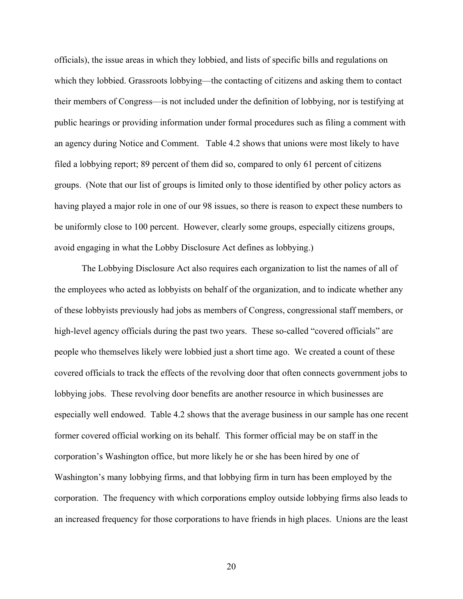officials), the issue areas in which they lobbied, and lists of specific bills and regulations on which they lobbied. Grassroots lobbying—the contacting of citizens and asking them to contact their members of Congress—is not included under the definition of lobbying, nor is testifying at public hearings or providing information under formal procedures such as filing a comment with an agency during Notice and Comment. Table 4.2 shows that unions were most likely to have filed a lobbying report; 89 percent of them did so, compared to only 61 percent of citizens groups. (Note that our list of groups is limited only to those identified by other policy actors as having played a major role in one of our 98 issues, so there is reason to expect these numbers to be uniformly close to 100 percent. However, clearly some groups, especially citizens groups, avoid engaging in what the Lobby Disclosure Act defines as lobbying.)

The Lobbying Disclosure Act also requires each organization to list the names of all of the employees who acted as lobbyists on behalf of the organization, and to indicate whether any of these lobbyists previously had jobs as members of Congress, congressional staff members, or high-level agency officials during the past two years. These so-called "covered officials" are people who themselves likely were lobbied just a short time ago. We created a count of these covered officials to track the effects of the revolving door that often connects government jobs to lobbying jobs. These revolving door benefits are another resource in which businesses are especially well endowed. Table 4.2 shows that the average business in our sample has one recent former covered official working on its behalf. This former official may be on staff in the corporation's Washington office, but more likely he or she has been hired by one of Washington's many lobbying firms, and that lobbying firm in turn has been employed by the corporation. The frequency with which corporations employ outside lobbying firms also leads to an increased frequency for those corporations to have friends in high places. Unions are the least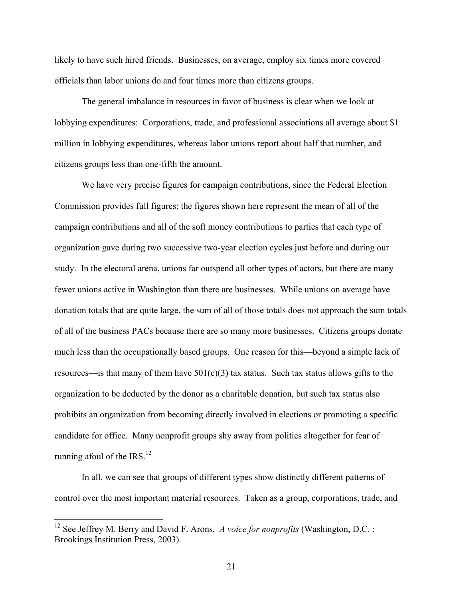likely to have such hired friends. Businesses, on average, employ six times more covered officials than labor unions do and four times more than citizens groups.

The general imbalance in resources in favor of business is clear when we look at lobbying expenditures: Corporations, trade, and professional associations all average about \$1 million in lobbying expenditures, whereas labor unions report about half that number, and citizens groups less than one-fifth the amount.

We have very precise figures for campaign contributions, since the Federal Election Commission provides full figures; the figures shown here represent the mean of all of the campaign contributions and all of the soft money contributions to parties that each type of organization gave during two successive two-year election cycles just before and during our study. In the electoral arena, unions far outspend all other types of actors, but there are many fewer unions active in Washington than there are businesses. While unions on average have donation totals that are quite large, the sum of all of those totals does not approach the sum totals of all of the business PACs because there are so many more businesses. Citizens groups donate much less than the occupationally based groups. One reason for this—beyond a simple lack of resources—is that many of them have  $501(c)(3)$  tax status. Such tax status allows gifts to the organization to be deducted by the donor as a charitable donation, but such tax status also prohibits an organization from becoming directly involved in elections or promoting a specific candidate for office. Many nonprofit groups shy away from politics altogether for fear of running afoul of the IRS. $^{12}$ 

In all, we can see that groups of different types show distinctly different patterns of control over the most important material resources. Taken as a group, corporations, trade, and

 $\overline{a}$ 

<sup>&</sup>lt;sup>12</sup> See Jeffrey M. Berry and David F. Arons, *A voice for nonprofits* (Washington, D.C. : Brookings Institution Press, 2003).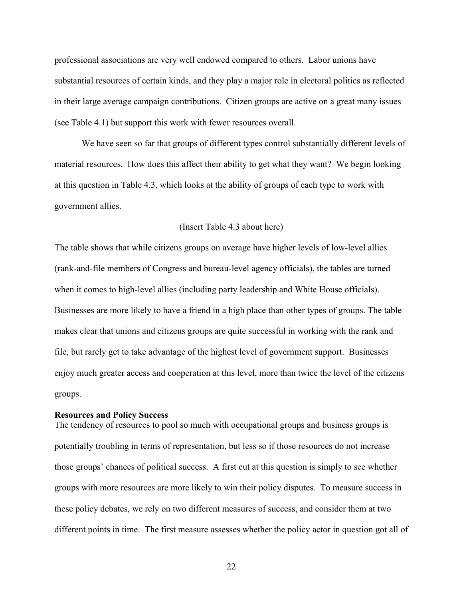professional associations are very well endowed compared to others. Labor unions have substantial resources of certain kinds, and they play a major role in electoral politics as reflected in their large average campaign contributions. Citizen groups are active on a great many issues (see Table 4.1) but support this work with fewer resources overall.

We have seen so far that groups of different types control substantially different levels of material resources. How does this affect their ability to get what they want? We begin looking at this question in Table 4.3, which looks at the ability of groups of each type to work with government allies.

# (Insert Table 4.3 about here)

The table shows that while citizens groups on average have higher levels of low-level allies (rank-and-file members of Congress and bureau-level agency officials), the tables are turned when it comes to high-level allies (including party leadership and White House officials). Businesses are more likely to have a friend in a high place than other types of groups. The table makes clear that unions and citizens groups are quite successful in working with the rank and file, but rarely get to take advantage of the highest level of government support. Businesses enjoy much greater access and cooperation at this level, more than twice the level of the citizens groups.

# **Resources and Policy Success**

The tendency of resources to pool so much with occupational groups and business groups is potentially troubling in terms of representation, but less so if those resources do not increase those groups' chances of political success. A first cut at this question is simply to see whether groups with more resources are more likely to win their policy disputes. To measure success in these policy debates, we rely on two different measures of success, and consider them at two different points in time. The first measure assesses whether the policy actor in question got all of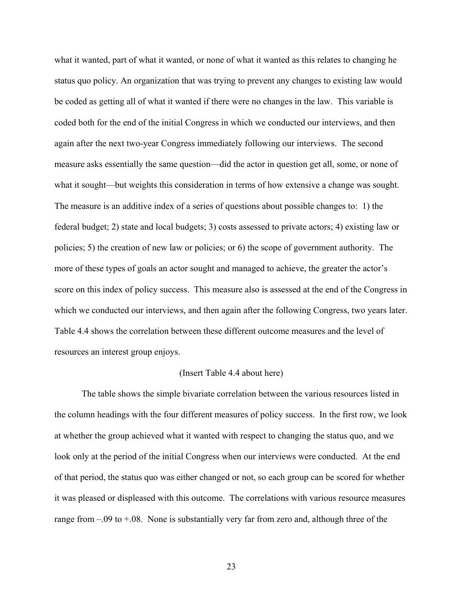what it wanted, part of what it wanted, or none of what it wanted as this relates to changing he status quo policy. An organization that was trying to prevent any changes to existing law would be coded as getting all of what it wanted if there were no changes in the law. This variable is coded both for the end of the initial Congress in which we conducted our interviews, and then again after the next two-year Congress immediately following our interviews. The second measure asks essentially the same question—did the actor in question get all, some, or none of what it sought—but weights this consideration in terms of how extensive a change was sought. The measure is an additive index of a series of questions about possible changes to: 1) the federal budget; 2) state and local budgets; 3) costs assessed to private actors; 4) existing law or policies; 5) the creation of new law or policies; or 6) the scope of government authority. The more of these types of goals an actor sought and managed to achieve, the greater the actor's score on this index of policy success. This measure also is assessed at the end of the Congress in which we conducted our interviews, and then again after the following Congress, two years later. Table 4.4 shows the correlation between these different outcome measures and the level of resources an interest group enjoys.

# (Insert Table 4.4 about here)

The table shows the simple bivariate correlation between the various resources listed in the column headings with the four different measures of policy success. In the first row, we look at whether the group achieved what it wanted with respect to changing the status quo, and we look only at the period of the initial Congress when our interviews were conducted. At the end of that period, the status quo was either changed or not, so each group can be scored for whether it was pleased or displeased with this outcome. The correlations with various resource measures range from  $-0.09$  to  $+0.08$ . None is substantially very far from zero and, although three of the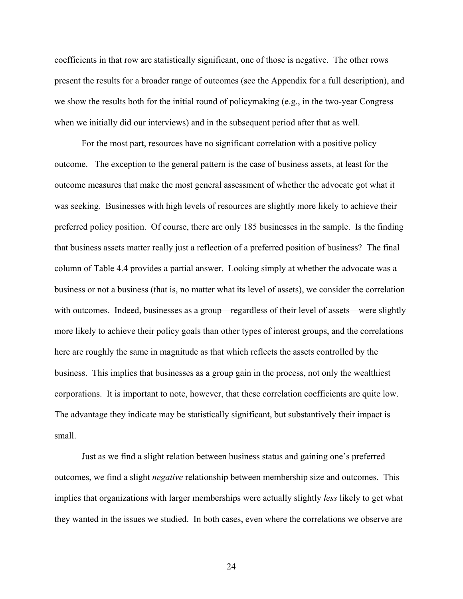coefficients in that row are statistically significant, one of those is negative. The other rows present the results for a broader range of outcomes (see the Appendix for a full description), and we show the results both for the initial round of policymaking (e.g., in the two-year Congress when we initially did our interviews) and in the subsequent period after that as well.

For the most part, resources have no significant correlation with a positive policy outcome. The exception to the general pattern is the case of business assets, at least for the outcome measures that make the most general assessment of whether the advocate got what it was seeking. Businesses with high levels of resources are slightly more likely to achieve their preferred policy position. Of course, there are only 185 businesses in the sample. Is the finding that business assets matter really just a reflection of a preferred position of business? The final column of Table 4.4 provides a partial answer. Looking simply at whether the advocate was a business or not a business (that is, no matter what its level of assets), we consider the correlation with outcomes. Indeed, businesses as a group—regardless of their level of assets—were slightly more likely to achieve their policy goals than other types of interest groups, and the correlations here are roughly the same in magnitude as that which reflects the assets controlled by the business. This implies that businesses as a group gain in the process, not only the wealthiest corporations. It is important to note, however, that these correlation coefficients are quite low. The advantage they indicate may be statistically significant, but substantively their impact is small.

Just as we find a slight relation between business status and gaining one's preferred outcomes, we find a slight *negative* relationship between membership size and outcomes. This implies that organizations with larger memberships were actually slightly *less* likely to get what they wanted in the issues we studied. In both cases, even where the correlations we observe are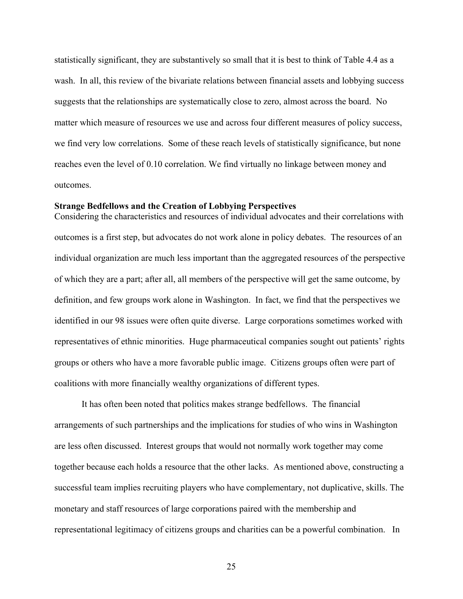statistically significant, they are substantively so small that it is best to think of Table 4.4 as a wash. In all, this review of the bivariate relations between financial assets and lobbying success suggests that the relationships are systematically close to zero, almost across the board. No matter which measure of resources we use and across four different measures of policy success, we find very low correlations. Some of these reach levels of statistically significance, but none reaches even the level of 0.10 correlation. We find virtually no linkage between money and outcomes.

## **Strange Bedfellows and the Creation of Lobbying Perspectives**

Considering the characteristics and resources of individual advocates and their correlations with outcomes is a first step, but advocates do not work alone in policy debates. The resources of an individual organization are much less important than the aggregated resources of the perspective of which they are a part; after all, all members of the perspective will get the same outcome, by definition, and few groups work alone in Washington. In fact, we find that the perspectives we identified in our 98 issues were often quite diverse. Large corporations sometimes worked with representatives of ethnic minorities. Huge pharmaceutical companies sought out patients' rights groups or others who have a more favorable public image. Citizens groups often were part of coalitions with more financially wealthy organizations of different types.

It has often been noted that politics makes strange bedfellows. The financial arrangements of such partnerships and the implications for studies of who wins in Washington are less often discussed. Interest groups that would not normally work together may come together because each holds a resource that the other lacks. As mentioned above, constructing a successful team implies recruiting players who have complementary, not duplicative, skills. The monetary and staff resources of large corporations paired with the membership and representational legitimacy of citizens groups and charities can be a powerful combination. In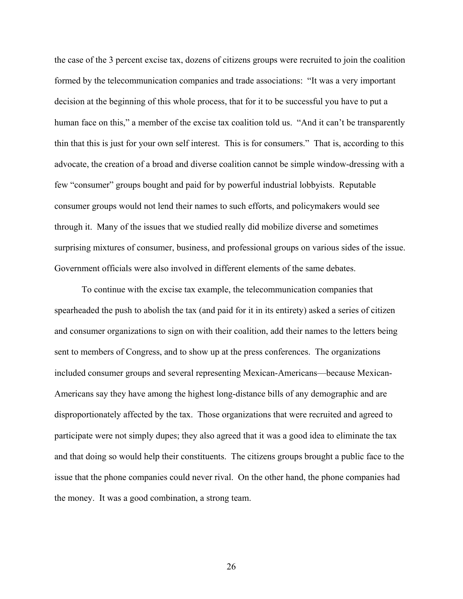the case of the 3 percent excise tax, dozens of citizens groups were recruited to join the coalition formed by the telecommunication companies and trade associations: "It was a very important decision at the beginning of this whole process, that for it to be successful you have to put a human face on this," a member of the excise tax coalition told us. "And it can't be transparently thin that this is just for your own self interest. This is for consumers." That is, according to this advocate, the creation of a broad and diverse coalition cannot be simple window-dressing with a few "consumer" groups bought and paid for by powerful industrial lobbyists. Reputable consumer groups would not lend their names to such efforts, and policymakers would see through it. Many of the issues that we studied really did mobilize diverse and sometimes surprising mixtures of consumer, business, and professional groups on various sides of the issue. Government officials were also involved in different elements of the same debates.

To continue with the excise tax example, the telecommunication companies that spearheaded the push to abolish the tax (and paid for it in its entirety) asked a series of citizen and consumer organizations to sign on with their coalition, add their names to the letters being sent to members of Congress, and to show up at the press conferences. The organizations included consumer groups and several representing Mexican-Americans—because Mexican-Americans say they have among the highest long-distance bills of any demographic and are disproportionately affected by the tax. Those organizations that were recruited and agreed to participate were not simply dupes; they also agreed that it was a good idea to eliminate the tax and that doing so would help their constituents. The citizens groups brought a public face to the issue that the phone companies could never rival. On the other hand, the phone companies had the money. It was a good combination, a strong team.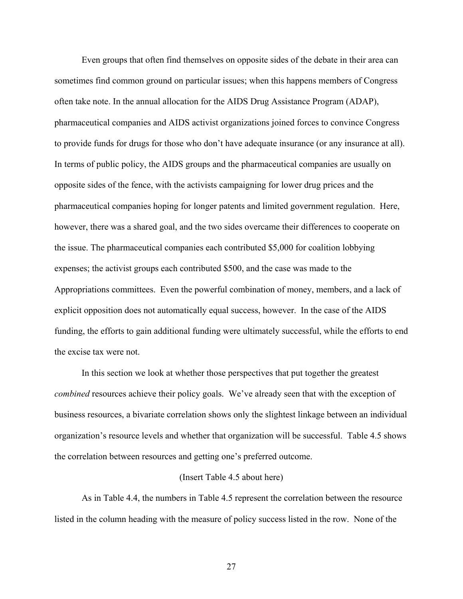Even groups that often find themselves on opposite sides of the debate in their area can sometimes find common ground on particular issues; when this happens members of Congress often take note. In the annual allocation for the AIDS Drug Assistance Program (ADAP), pharmaceutical companies and AIDS activist organizations joined forces to convince Congress to provide funds for drugs for those who don't have adequate insurance (or any insurance at all). In terms of public policy, the AIDS groups and the pharmaceutical companies are usually on opposite sides of the fence, with the activists campaigning for lower drug prices and the pharmaceutical companies hoping for longer patents and limited government regulation. Here, however, there was a shared goal, and the two sides overcame their differences to cooperate on the issue. The pharmaceutical companies each contributed \$5,000 for coalition lobbying expenses; the activist groups each contributed \$500, and the case was made to the Appropriations committees. Even the powerful combination of money, members, and a lack of explicit opposition does not automatically equal success, however. In the case of the AIDS funding, the efforts to gain additional funding were ultimately successful, while the efforts to end the excise tax were not.

In this section we look at whether those perspectives that put together the greatest *combined* resources achieve their policy goals. We've already seen that with the exception of business resources, a bivariate correlation shows only the slightest linkage between an individual organization's resource levels and whether that organization will be successful. Table 4.5 shows the correlation between resources and getting one's preferred outcome.

#### (Insert Table 4.5 about here)

As in Table 4.4, the numbers in Table 4.5 represent the correlation between the resource listed in the column heading with the measure of policy success listed in the row. None of the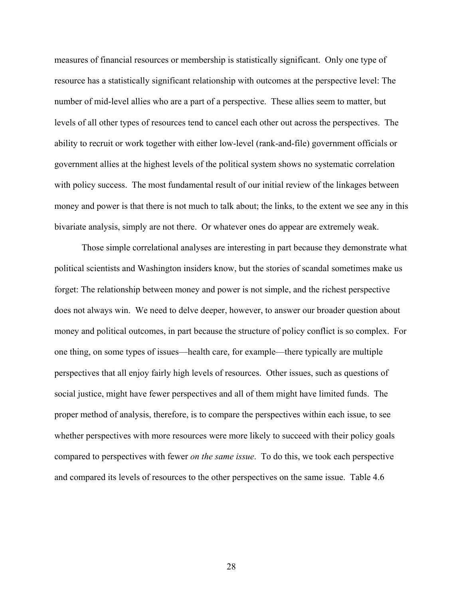measures of financial resources or membership is statistically significant. Only one type of resource has a statistically significant relationship with outcomes at the perspective level: The number of mid-level allies who are a part of a perspective. These allies seem to matter, but levels of all other types of resources tend to cancel each other out across the perspectives. The ability to recruit or work together with either low-level (rank-and-file) government officials or government allies at the highest levels of the political system shows no systematic correlation with policy success. The most fundamental result of our initial review of the linkages between money and power is that there is not much to talk about; the links, to the extent we see any in this bivariate analysis, simply are not there. Or whatever ones do appear are extremely weak.

Those simple correlational analyses are interesting in part because they demonstrate what political scientists and Washington insiders know, but the stories of scandal sometimes make us forget: The relationship between money and power is not simple, and the richest perspective does not always win. We need to delve deeper, however, to answer our broader question about money and political outcomes, in part because the structure of policy conflict is so complex. For one thing, on some types of issues—health care, for example—there typically are multiple perspectives that all enjoy fairly high levels of resources. Other issues, such as questions of social justice, might have fewer perspectives and all of them might have limited funds. The proper method of analysis, therefore, is to compare the perspectives within each issue, to see whether perspectives with more resources were more likely to succeed with their policy goals compared to perspectives with fewer *on the same issue*. To do this, we took each perspective and compared its levels of resources to the other perspectives on the same issue. Table 4.6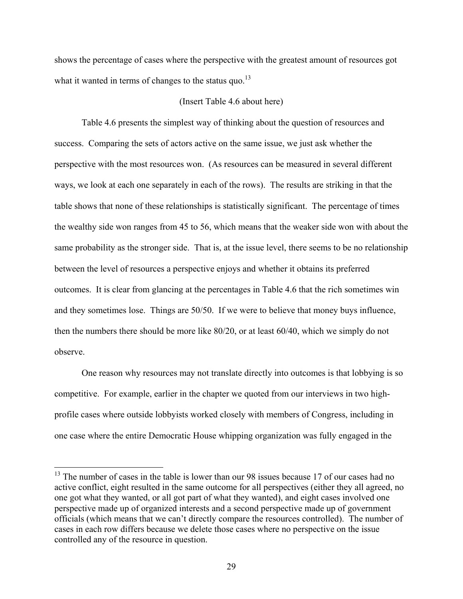shows the percentage of cases where the perspective with the greatest amount of resources got what it wanted in terms of changes to the status quo. $^{13}$ 

# (Insert Table 4.6 about here)

Table 4.6 presents the simplest way of thinking about the question of resources and success. Comparing the sets of actors active on the same issue, we just ask whether the perspective with the most resources won. (As resources can be measured in several different ways, we look at each one separately in each of the rows). The results are striking in that the table shows that none of these relationships is statistically significant. The percentage of times the wealthy side won ranges from 45 to 56, which means that the weaker side won with about the same probability as the stronger side. That is, at the issue level, there seems to be no relationship between the level of resources a perspective enjoys and whether it obtains its preferred outcomes. It is clear from glancing at the percentages in Table 4.6 that the rich sometimes win and they sometimes lose. Things are 50/50. If we were to believe that money buys influence, then the numbers there should be more like 80/20, or at least 60/40, which we simply do not observe.

One reason why resources may not translate directly into outcomes is that lobbying is so competitive. For example, earlier in the chapter we quoted from our interviews in two highprofile cases where outside lobbyists worked closely with members of Congress, including in one case where the entire Democratic House whipping organization was fully engaged in the

 $\overline{a}$ 

 $13$  The number of cases in the table is lower than our 98 issues because 17 of our cases had no active conflict, eight resulted in the same outcome for all perspectives (either they all agreed, no one got what they wanted, or all got part of what they wanted), and eight cases involved one perspective made up of organized interests and a second perspective made up of government officials (which means that we can't directly compare the resources controlled). The number of cases in each row differs because we delete those cases where no perspective on the issue controlled any of the resource in question.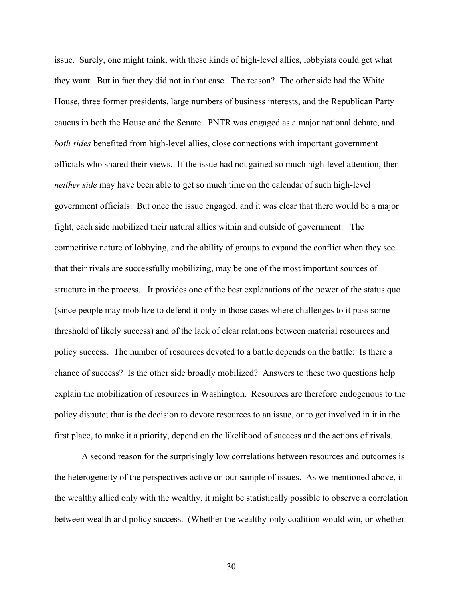issue. Surely, one might think, with these kinds of high-level allies, lobbyists could get what they want. But in fact they did not in that case. The reason? The other side had the White House, three former presidents, large numbers of business interests, and the Republican Party caucus in both the House and the Senate. PNTR was engaged as a major national debate, and *both sides* benefited from high-level allies, close connections with important government officials who shared their views. If the issue had not gained so much high-level attention, then *neither side* may have been able to get so much time on the calendar of such high-level government officials. But once the issue engaged, and it was clear that there would be a major fight, each side mobilized their natural allies within and outside of government. The competitive nature of lobbying, and the ability of groups to expand the conflict when they see that their rivals are successfully mobilizing, may be one of the most important sources of structure in the process. It provides one of the best explanations of the power of the status quo (since people may mobilize to defend it only in those cases where challenges to it pass some threshold of likely success) and of the lack of clear relations between material resources and policy success. The number of resources devoted to a battle depends on the battle: Is there a chance of success? Is the other side broadly mobilized? Answers to these two questions help explain the mobilization of resources in Washington. Resources are therefore endogenous to the policy dispute; that is the decision to devote resources to an issue, or to get involved in it in the first place, to make it a priority, depend on the likelihood of success and the actions of rivals.

A second reason for the surprisingly low correlations between resources and outcomes is the heterogeneity of the perspectives active on our sample of issues. As we mentioned above, if the wealthy allied only with the wealthy, it might be statistically possible to observe a correlation between wealth and policy success. (Whether the wealthy-only coalition would win, or whether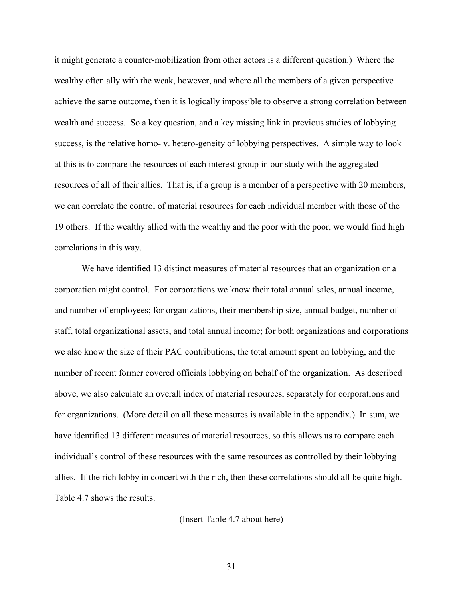it might generate a counter-mobilization from other actors is a different question.) Where the wealthy often ally with the weak, however, and where all the members of a given perspective achieve the same outcome, then it is logically impossible to observe a strong correlation between wealth and success. So a key question, and a key missing link in previous studies of lobbying success, is the relative homo- v. hetero-geneity of lobbying perspectives. A simple way to look at this is to compare the resources of each interest group in our study with the aggregated resources of all of their allies. That is, if a group is a member of a perspective with 20 members, we can correlate the control of material resources for each individual member with those of the 19 others. If the wealthy allied with the wealthy and the poor with the poor, we would find high correlations in this way.

We have identified 13 distinct measures of material resources that an organization or a corporation might control. For corporations we know their total annual sales, annual income, and number of employees; for organizations, their membership size, annual budget, number of staff, total organizational assets, and total annual income; for both organizations and corporations we also know the size of their PAC contributions, the total amount spent on lobbying, and the number of recent former covered officials lobbying on behalf of the organization. As described above, we also calculate an overall index of material resources, separately for corporations and for organizations. (More detail on all these measures is available in the appendix.) In sum, we have identified 13 different measures of material resources, so this allows us to compare each individual's control of these resources with the same resources as controlled by their lobbying allies. If the rich lobby in concert with the rich, then these correlations should all be quite high. Table 4.7 shows the results.

(Insert Table 4.7 about here)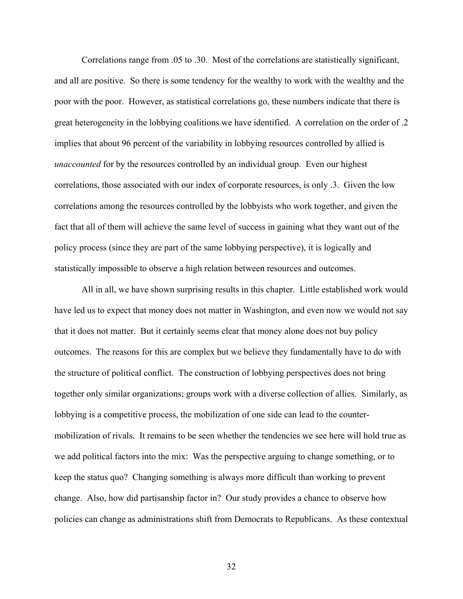Correlations range from .05 to .30. Most of the correlations are statistically significant, and all are positive. So there is some tendency for the wealthy to work with the wealthy and the poor with the poor. However, as statistical correlations go, these numbers indicate that there is great heterogeneity in the lobbying coalitions we have identified. A correlation on the order of .2 implies that about 96 percent of the variability in lobbying resources controlled by allied is *unaccounted* for by the resources controlled by an individual group. Even our highest correlations, those associated with our index of corporate resources, is only .3. Given the low correlations among the resources controlled by the lobbyists who work together, and given the fact that all of them will achieve the same level of success in gaining what they want out of the policy process (since they are part of the same lobbying perspective), it is logically and statistically impossible to observe a high relation between resources and outcomes.

All in all, we have shown surprising results in this chapter. Little established work would have led us to expect that money does not matter in Washington, and even now we would not say that it does not matter. But it certainly seems clear that money alone does not buy policy outcomes. The reasons for this are complex but we believe they fundamentally have to do with the structure of political conflict. The construction of lobbying perspectives does not bring together only similar organizations; groups work with a diverse collection of allies. Similarly, as lobbying is a competitive process, the mobilization of one side can lead to the countermobilization of rivals. It remains to be seen whether the tendencies we see here will hold true as we add political factors into the mix: Was the perspective arguing to change something, or to keep the status quo? Changing something is always more difficult than working to prevent change. Also, how did partisanship factor in? Our study provides a chance to observe how policies can change as administrations shift from Democrats to Republicans. As these contextual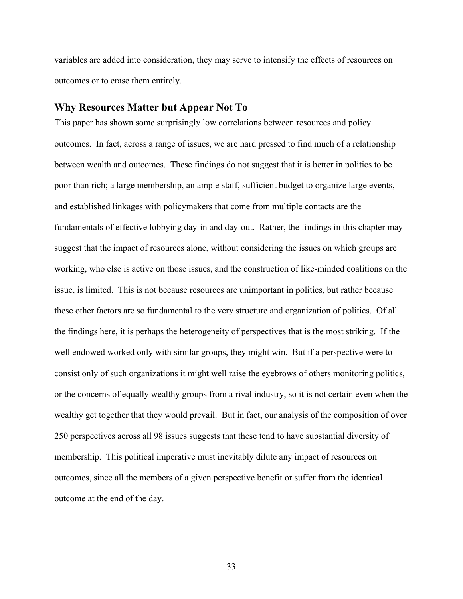variables are added into consideration, they may serve to intensify the effects of resources on outcomes or to erase them entirely.

# **Why Resources Matter but Appear Not To**

This paper has shown some surprisingly low correlations between resources and policy outcomes. In fact, across a range of issues, we are hard pressed to find much of a relationship between wealth and outcomes. These findings do not suggest that it is better in politics to be poor than rich; a large membership, an ample staff, sufficient budget to organize large events, and established linkages with policymakers that come from multiple contacts are the fundamentals of effective lobbying day-in and day-out. Rather, the findings in this chapter may suggest that the impact of resources alone, without considering the issues on which groups are working, who else is active on those issues, and the construction of like-minded coalitions on the issue, is limited. This is not because resources are unimportant in politics, but rather because these other factors are so fundamental to the very structure and organization of politics. Of all the findings here, it is perhaps the heterogeneity of perspectives that is the most striking. If the well endowed worked only with similar groups, they might win. But if a perspective were to consist only of such organizations it might well raise the eyebrows of others monitoring politics, or the concerns of equally wealthy groups from a rival industry, so it is not certain even when the wealthy get together that they would prevail. But in fact, our analysis of the composition of over 250 perspectives across all 98 issues suggests that these tend to have substantial diversity of membership. This political imperative must inevitably dilute any impact of resources on outcomes, since all the members of a given perspective benefit or suffer from the identical outcome at the end of the day.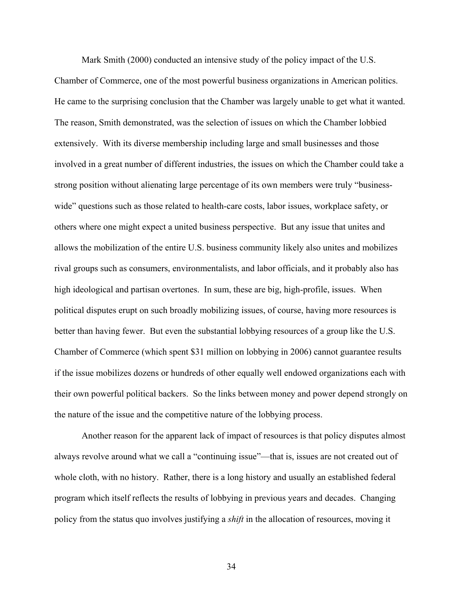Mark Smith (2000) conducted an intensive study of the policy impact of the U.S. Chamber of Commerce, one of the most powerful business organizations in American politics. He came to the surprising conclusion that the Chamber was largely unable to get what it wanted. The reason, Smith demonstrated, was the selection of issues on which the Chamber lobbied extensively. With its diverse membership including large and small businesses and those involved in a great number of different industries, the issues on which the Chamber could take a strong position without alienating large percentage of its own members were truly "businesswide" questions such as those related to health-care costs, labor issues, workplace safety, or others where one might expect a united business perspective. But any issue that unites and allows the mobilization of the entire U.S. business community likely also unites and mobilizes rival groups such as consumers, environmentalists, and labor officials, and it probably also has high ideological and partisan overtones. In sum, these are big, high-profile, issues. When political disputes erupt on such broadly mobilizing issues, of course, having more resources is better than having fewer. But even the substantial lobbying resources of a group like the U.S. Chamber of Commerce (which spent \$31 million on lobbying in 2006) cannot guarantee results if the issue mobilizes dozens or hundreds of other equally well endowed organizations each with their own powerful political backers. So the links between money and power depend strongly on the nature of the issue and the competitive nature of the lobbying process.

Another reason for the apparent lack of impact of resources is that policy disputes almost always revolve around what we call a "continuing issue"—that is, issues are not created out of whole cloth, with no history. Rather, there is a long history and usually an established federal program which itself reflects the results of lobbying in previous years and decades. Changing policy from the status quo involves justifying a *shift* in the allocation of resources, moving it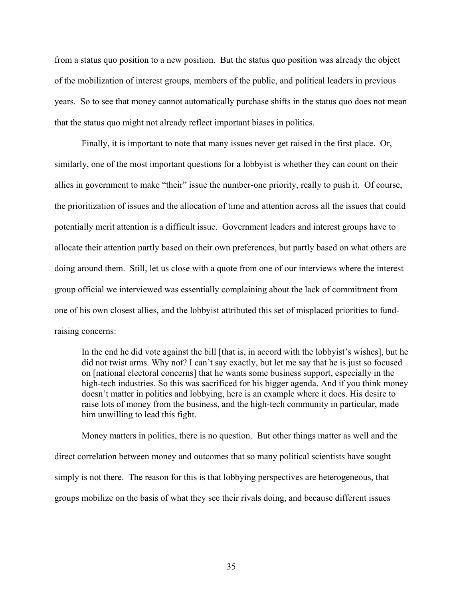from a status quo position to a new position. But the status quo position was already the object of the mobilization of interest groups, members of the public, and political leaders in previous years. So to see that money cannot automatically purchase shifts in the status quo does not mean that the status quo might not already reflect important biases in politics.

Finally, it is important to note that many issues never get raised in the first place. Or, similarly, one of the most important questions for a lobbyist is whether they can count on their allies in government to make "their" issue the number-one priority, really to push it. Of course, the prioritization of issues and the allocation of time and attention across all the issues that could potentially merit attention is a difficult issue. Government leaders and interest groups have to allocate their attention partly based on their own preferences, but partly based on what others are doing around them. Still, let us close with a quote from one of our interviews where the interest group official we interviewed was essentially complaining about the lack of commitment from one of his own closest allies, and the lobbyist attributed this set of misplaced priorities to fundraising concerns:

In the end he did vote against the bill [that is, in accord with the lobbyist's wishes], but he did not twist arms. Why not? I can't say exactly, but let me say that he is just so focused on [national electoral concerns] that he wants some business support, especially in the high-tech industries. So this was sacrificed for his bigger agenda. And if you think money doesn't matter in politics and lobbying, here is an example where it does. His desire to raise lots of money from the business, and the high-tech community in particular, made him unwilling to lead this fight.

Money matters in politics, there is no question. But other things matter as well and the direct correlation between money and outcomes that so many political scientists have sought simply is not there. The reason for this is that lobbying perspectives are heterogeneous, that groups mobilize on the basis of what they see their rivals doing, and because different issues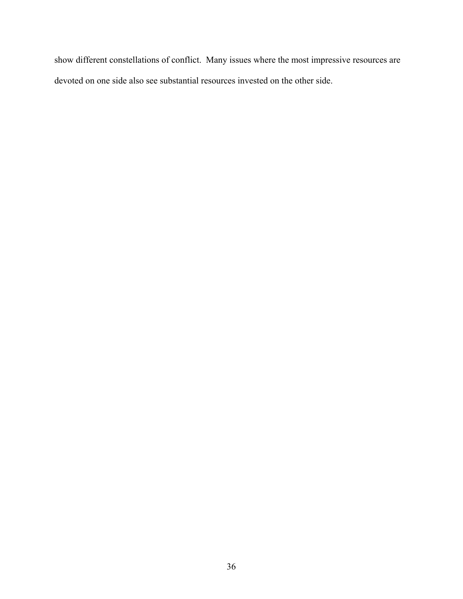show different constellations of conflict. Many issues where the most impressive resources are devoted on one side also see substantial resources invested on the other side.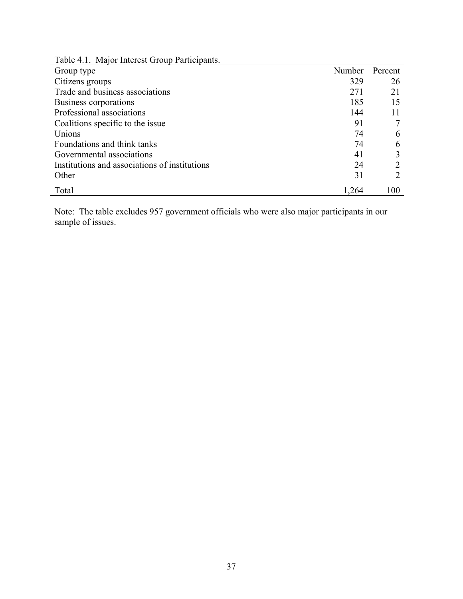Table 4.1. Major Interest Group Participants.

| Group type                                    | Number | Percent |
|-----------------------------------------------|--------|---------|
| Citizens groups                               | 329    | 26      |
| Trade and business associations               | 271    | 21      |
| Business corporations                         | 185    | 15      |
| Professional associations                     | 144    |         |
| Coalitions specific to the issue              | 91     |         |
| Unions                                        | 74     | 6       |
| Foundations and think tanks                   | 74     | 6       |
| Governmental associations                     | 41     | 3       |
| Institutions and associations of institutions | 24     | ∍       |
| Other                                         | 31     |         |
| Total                                         | 1,264  | 100     |

Note: The table excludes 957 government officials who were also major participants in our sample of issues.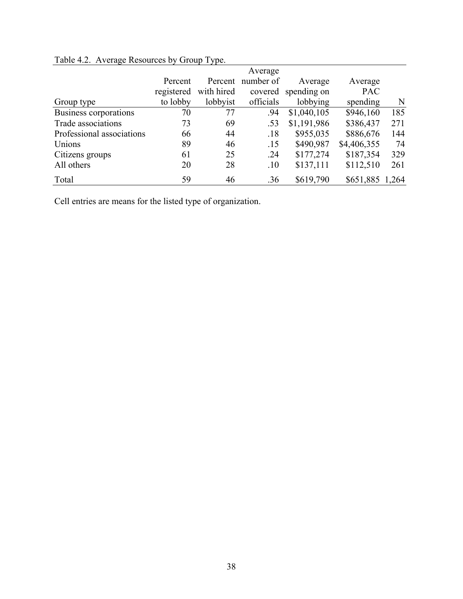|                           |            |            | Average           |             |             |       |
|---------------------------|------------|------------|-------------------|-------------|-------------|-------|
|                           | Percent    |            | Percent number of | Average     | Average     |       |
|                           | registered | with hired | covered           | spending on | <b>PAC</b>  |       |
| Group type                | to lobby   | lobbyist   | officials         | lobbying    | spending    | N     |
| Business corporations     | 70         | 77         | .94               | \$1,040,105 | \$946,160   | 185   |
| Trade associations        | 73         | 69         | .53               | \$1,191,986 | \$386,437   | 271   |
| Professional associations | 66         | 44         | .18               | \$955,035   | \$886,676   | 144   |
| Unions                    | 89         | 46         | .15               | \$490,987   | \$4,406,355 | 74    |
| Citizens groups           | 61         | 25         | .24               | \$177,274   | \$187,354   | 329   |
| All others                | 20         | 28         | .10               | \$137,111   | \$112,510   | 261   |
| Total                     | 59         | 46         | .36               | \$619,790   | \$651,885   | 1,264 |

# Table 4.2. Average Resources by Group Type.

Cell entries are means for the listed type of organization.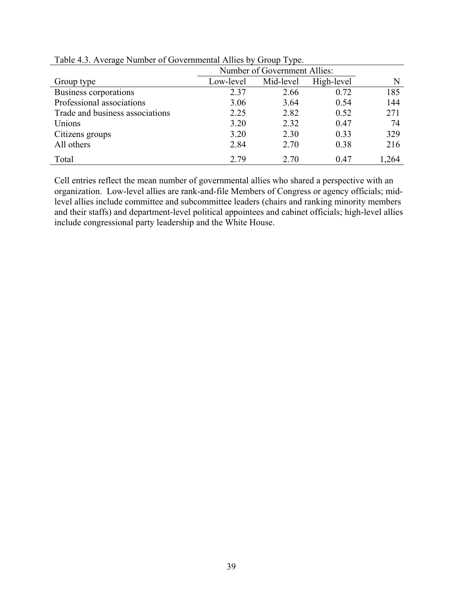|                                 | Number of Government Allies: |           |            |      |
|---------------------------------|------------------------------|-----------|------------|------|
| Group type                      | Low-level                    | Mid-level | High-level | N    |
| Business corporations           | 2.37                         | 2.66      | 0.72       | 185  |
| Professional associations       | 3.06                         | 3.64      | 0.54       | 144  |
| Trade and business associations | 2.25                         | 2.82      | 0.52       | 271  |
| Unions                          | 3.20                         | 2.32      | 0.47       | 74   |
| Citizens groups                 | 3.20                         | 2.30      | 0.33       | 329  |
| All others                      | 2.84                         | 2.70      | 0.38       | 216  |
| Total                           | 2.79                         | 2.70      | 0.47       | .264 |

Table 4.3. Average Number of Governmental Allies by Group Type.

Cell entries reflect the mean number of governmental allies who shared a perspective with an organization. Low-level allies are rank-and-file Members of Congress or agency officials; midlevel allies include committee and subcommittee leaders (chairs and ranking minority members and their staffs) and department-level political appointees and cabinet officials; high-level allies include congressional party leadership and the White House.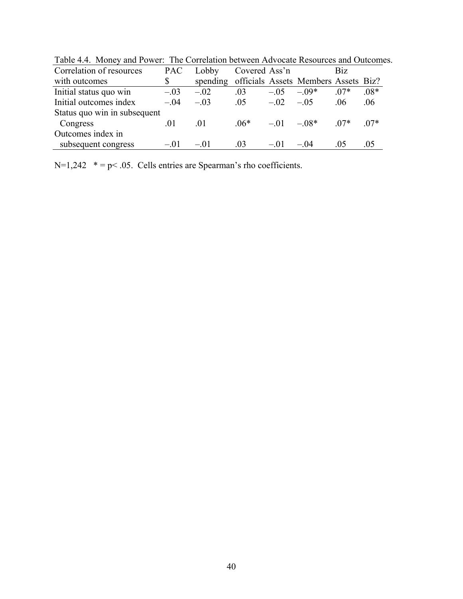| TWOLD 1.1. INTOILEY WHAT ON CE. THE COLLEMNION OCCH CONTINUES RESOURCED WHO OWNOHIO |              |                                               |                    |              |                                         |       |        |
|-------------------------------------------------------------------------------------|--------------|-----------------------------------------------|--------------------|--------------|-----------------------------------------|-------|--------|
| Correlation of resources                                                            |              | PAC Lobby                                     | Covered Ass'n      |              |                                         | Biz   |        |
| with outcomes                                                                       | $\mathbb{S}$ | spending officials Assets Members Assets Biz? |                    |              |                                         |       |        |
| Initial status quo win                                                              | $-.03$       | $-.02$                                        | $.03 - .05 - .09*$ |              |                                         | $07*$ | $.08*$ |
| Initial outcomes index                                                              | $-.04$       | $-.03$                                        | $.05 - .02 - .05$  |              |                                         | .06   | .06    |
| Status quo win in subsequent                                                        |              |                                               |                    |              |                                         |       |        |
| Congress                                                                            | .01          | .01                                           |                    |              | $.06^*$ $-.01$ $-.08^*$ $.07^*$ $.07^*$ |       |        |
| Outcomes index in                                                                   |              |                                               |                    |              |                                         |       |        |
| subsequent congress                                                                 | $-.01$       | $-01$                                         | 0.03               | $-.01 - .04$ |                                         | 0.5   | -05    |

Table 4.4. Money and Power: The Correlation between Advocate Resources and Outcomes.

N=1,242  $* = p < .05$ . Cells entries are Spearman's rho coefficients.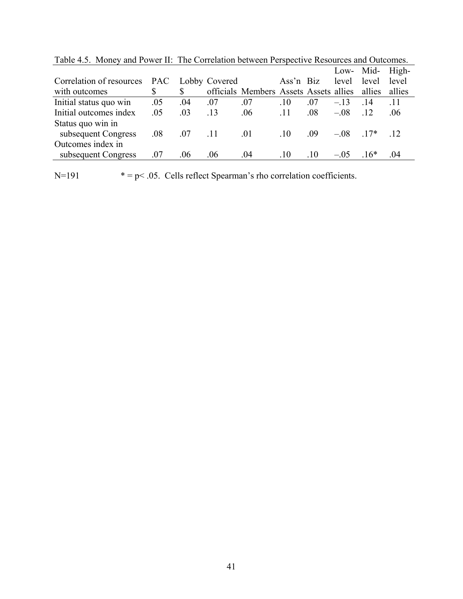|                                            |     |              |                  |                                        |           |                 |             | Low- Mid- High- |        |
|--------------------------------------------|-----|--------------|------------------|----------------------------------------|-----------|-----------------|-------------|-----------------|--------|
| Correlation of resources PAC Lobby Covered |     |              |                  |                                        | Ass'n Biz |                 | level       | level           | level  |
| with outcomes                              | \$  | <sup>S</sup> |                  | officials Members Assets Assets allies |           |                 |             | allies          | allies |
| Initial status quo win                     | .05 | .04          | .07              | .07                                    | .10       | .07             | $-13$       | 14              | .11    |
| Initial outcomes index                     | .05 | .03          | $\overline{.}13$ | .06                                    | .11       | $.08\,$         | $-.08$      | $\overline{12}$ | .06    |
| Status quo win in                          |     |              |                  |                                        |           |                 |             |                 |        |
| subsequent Congress .08                    |     |              | $.07 \qquad .11$ | $\therefore$ 01                        | .10       | .09             | $-.08$ .17* |                 |        |
| Outcomes index in                          |     |              |                  |                                        |           |                 |             |                 |        |
| subsequent Congress                        | .07 | .06          | .06              | .04                                    | .10       | $\overline{10}$ | $-.05$      | $16*$           | .04    |

Table 4.5. Money and Power II: The Correlation between Perspective Resources and Outcomes.

 $N=191$  \* = p< .05. Cells reflect Spearman's rho correlation coefficients.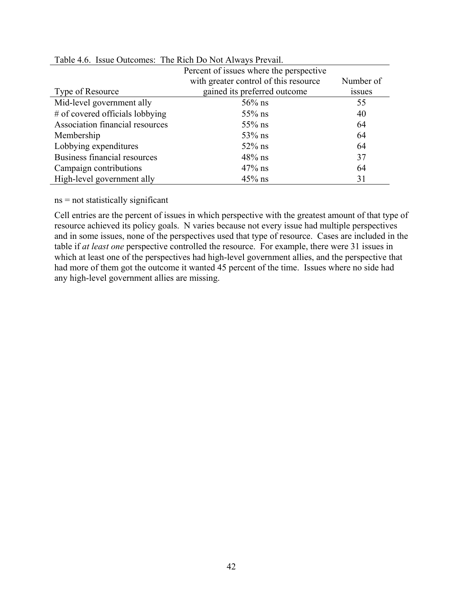|                                 | Percent of issues where the perspective<br>with greater control of this resource | Number of |
|---------------------------------|----------------------------------------------------------------------------------|-----------|
| Type of Resource                | gained its preferred outcome                                                     | issues    |
| Mid-level government ally       | $56\%$ ns                                                                        | 55        |
| # of covered officials lobbying | $55\%$ ns                                                                        | 40        |
| Association financial resources | $55\%$ ns                                                                        | 64        |
| Membership                      | $53\%$ ns                                                                        | 64        |
| Lobbying expenditures           | $52\%$ ns                                                                        | 64        |
| Business financial resources    | $48\%$ ns                                                                        | 37        |
| Campaign contributions          | $47\%$ ns                                                                        | 64        |
| High-level government ally      | $45\%$ ns                                                                        | 31        |

# Table 4.6. Issue Outcomes: The Rich Do Not Always Prevail.

ns = not statistically significant

Cell entries are the percent of issues in which perspective with the greatest amount of that type of resource achieved its policy goals. N varies because not every issue had multiple perspectives and in some issues, none of the perspectives used that type of resource. Cases are included in the table if *at least one* perspective controlled the resource. For example, there were 31 issues in which at least one of the perspectives had high-level government allies, and the perspective that had more of them got the outcome it wanted 45 percent of the time. Issues where no side had any high-level government allies are missing.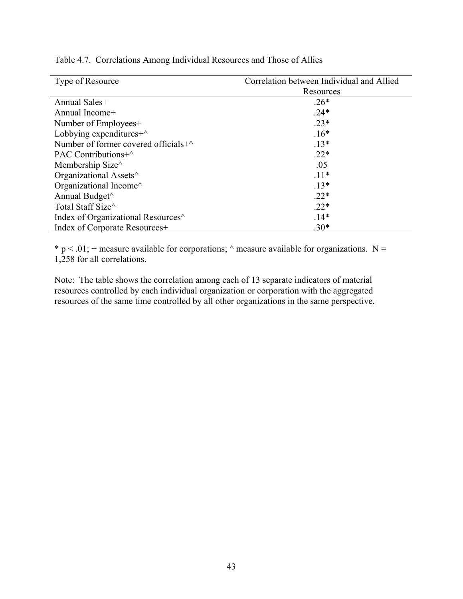| Type of Resource                                    | Correlation between Individual and Allied<br>Resources |
|-----------------------------------------------------|--------------------------------------------------------|
| Annual Sales+                                       | $.26*$                                                 |
| Annual Income+                                      | $.24*$                                                 |
| Number of Employees+                                | $.23*$                                                 |
| Lobbying expenditures+ $\wedge$                     | $.16*$                                                 |
| Number of former covered officials+ $\wedge$        | $.13*$                                                 |
| PAC Contributions+ $\wedge$                         | $.22*$                                                 |
| Membership Size <sup><math>\wedge</math></sup>      | .05                                                    |
| Organizational Assets <sup>^</sup>                  | $.11*$                                                 |
| Organizational Income <sup><math>\land</math></sup> | $.13*$                                                 |
| Annual Budget <sup><math>\land</math></sup>         | $.22*$                                                 |
| Total Staff Size^                                   | $.22*$                                                 |
| Index of Organizational Resources <sup>^</sup>      | $.14*$                                                 |
| Index of Corporate Resources+                       | $.30*$                                                 |

# Table 4.7. Correlations Among Individual Resources and Those of Allies

\* p < .01; + measure available for corporations;  $\land$  measure available for organizations. N = 1,258 for all correlations.

Note: The table shows the correlation among each of 13 separate indicators of material resources controlled by each individual organization or corporation with the aggregated resources of the same time controlled by all other organizations in the same perspective.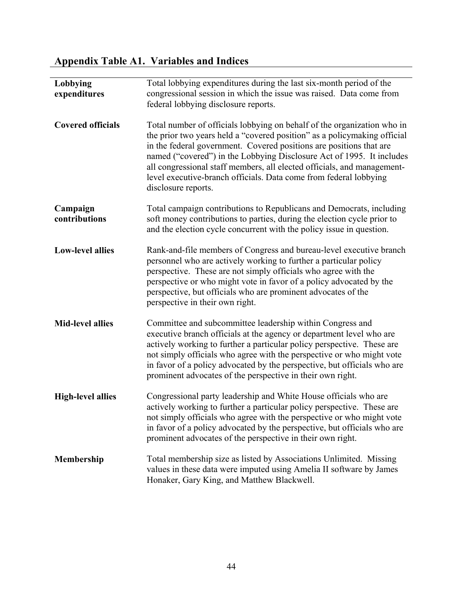# **Appendix Table A1. Variables and Indices**

| Lobbying<br>expenditures  | Total lobbying expenditures during the last six-month period of the<br>congressional session in which the issue was raised. Data come from<br>federal lobbying disclosure reports.                                                                                                                                                                                                                                                                                         |
|---------------------------|----------------------------------------------------------------------------------------------------------------------------------------------------------------------------------------------------------------------------------------------------------------------------------------------------------------------------------------------------------------------------------------------------------------------------------------------------------------------------|
| <b>Covered officials</b>  | Total number of officials lobbying on behalf of the organization who in<br>the prior two years held a "covered position" as a policymaking official<br>in the federal government. Covered positions are positions that are<br>named ("covered") in the Lobbying Disclosure Act of 1995. It includes<br>all congressional staff members, all elected officials, and management-<br>level executive-branch officials. Data come from federal lobbying<br>disclosure reports. |
| Campaign<br>contributions | Total campaign contributions to Republicans and Democrats, including<br>soft money contributions to parties, during the election cycle prior to<br>and the election cycle concurrent with the policy issue in question.                                                                                                                                                                                                                                                    |
| <b>Low-level allies</b>   | Rank-and-file members of Congress and bureau-level executive branch<br>personnel who are actively working to further a particular policy<br>perspective. These are not simply officials who agree with the<br>perspective or who might vote in favor of a policy advocated by the<br>perspective, but officials who are prominent advocates of the<br>perspective in their own right.                                                                                      |
| <b>Mid-level allies</b>   | Committee and subcommittee leadership within Congress and<br>executive branch officials at the agency or department level who are<br>actively working to further a particular policy perspective. These are<br>not simply officials who agree with the perspective or who might vote<br>in favor of a policy advocated by the perspective, but officials who are<br>prominent advocates of the perspective in their own right.                                             |
| <b>High-level allies</b>  | Congressional party leadership and White House officials who are<br>actively working to further a particular policy perspective. These are<br>not simply officials who agree with the perspective or who might vote<br>in favor of a policy advocated by the perspective, but officials who are<br>prominent advocates of the perspective in their own right.                                                                                                              |
| <b>Membership</b>         | Total membership size as listed by Associations Unlimited. Missing<br>values in these data were imputed using Amelia II software by James<br>Honaker, Gary King, and Matthew Blackwell.                                                                                                                                                                                                                                                                                    |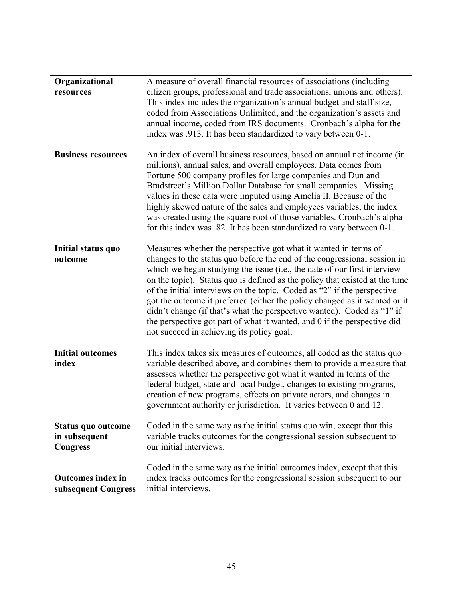| Organizational<br>resources                            | A measure of overall financial resources of associations (including<br>citizen groups, professional and trade associations, unions and others).<br>This index includes the organization's annual budget and staff size,<br>coded from Associations Unlimited, and the organization's assets and<br>annual income, coded from IRS documents. Cronbach's alpha for the<br>index was .913. It has been standardized to vary between 0-1.                                                                                                                                                                                                                              |
|--------------------------------------------------------|--------------------------------------------------------------------------------------------------------------------------------------------------------------------------------------------------------------------------------------------------------------------------------------------------------------------------------------------------------------------------------------------------------------------------------------------------------------------------------------------------------------------------------------------------------------------------------------------------------------------------------------------------------------------|
| <b>Business resources</b>                              | An index of overall business resources, based on annual net income (in<br>millions), annual sales, and overall employees. Data comes from<br>Fortune 500 company profiles for large companies and Dun and<br>Bradstreet's Million Dollar Database for small companies. Missing<br>values in these data were imputed using Amelia II. Because of the<br>highly skewed nature of the sales and employees variables, the index<br>was created using the square root of those variables. Cronbach's alpha<br>for this index was .82. It has been standardized to vary between 0-1.                                                                                     |
| Initial status quo<br>outcome                          | Measures whether the perspective got what it wanted in terms of<br>changes to the status quo before the end of the congressional session in<br>which we began studying the issue (i.e., the date of our first interview<br>on the topic). Status quo is defined as the policy that existed at the time<br>of the initial interviews on the topic. Coded as "2" if the perspective<br>got the outcome it preferred (either the policy changed as it wanted or it<br>didn't change (if that's what the perspective wanted). Coded as "1" if<br>the perspective got part of what it wanted, and 0 if the perspective did<br>not succeed in achieving its policy goal. |
| <b>Initial outcomes</b><br>index                       | This index takes six measures of outcomes, all coded as the status quo<br>variable described above, and combines them to provide a measure that<br>assesses whether the perspective got what it wanted in terms of the<br>federal budget, state and local budget, changes to existing programs,<br>creation of new programs, effects on private actors, and changes in<br>government authority or jurisdiction. It varies between 0 and 12.                                                                                                                                                                                                                        |
| Status quo outcome<br>in subsequent<br><b>Congress</b> | Coded in the same way as the initial status quo win, except that this<br>variable tracks outcomes for the congressional session subsequent to<br>our initial interviews.                                                                                                                                                                                                                                                                                                                                                                                                                                                                                           |
| <b>Outcomes index in</b><br>subsequent Congress        | Coded in the same way as the initial outcomes index, except that this<br>index tracks outcomes for the congressional session subsequent to our<br>initial interviews.                                                                                                                                                                                                                                                                                                                                                                                                                                                                                              |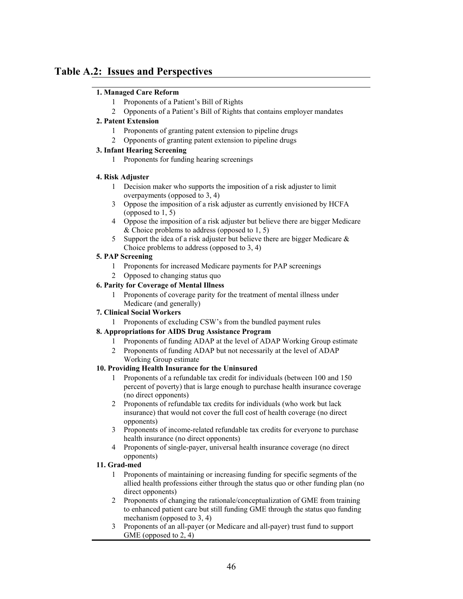# **Table A.2: Issues and Perspectives**

# **1. Managed Care Reform**

- 1 Proponents of a Patient's Bill of Rights
- 2 Opponents of a Patient's Bill of Rights that contains employer mandates

# **2. Patent Extension**

- 1 Proponents of granting patent extension to pipeline drugs
- 2 Opponents of granting patent extension to pipeline drugs

# **3. Infant Hearing Screening**

1 Proponents for funding hearing screenings

# **4. Risk Adjuster**

- 1 Decision maker who supports the imposition of a risk adjuster to limit overpayments (opposed to 3, 4)
- 3 Oppose the imposition of a risk adjuster as currently envisioned by HCFA (opposed to 1, 5)
- 4 Oppose the imposition of a risk adjuster but believe there are bigger Medicare  $& Choice problems to address (opposed to 1, 5)$
- 5 Support the idea of a risk adjuster but believe there are bigger Medicare & Choice problems to address (opposed to 3, 4)

# **5. PAP Screening**

- 1 Proponents for increased Medicare payments for PAP screenings
- 2 Opposed to changing status quo

# **6. Parity for Coverage of Mental Illness**

1 Proponents of coverage parity for the treatment of mental illness under Medicare (and generally)

# **7. Clinical Social Workers**

1 Proponents of excluding CSW's from the bundled payment rules

#### **8. Appropriations for AIDS Drug Assistance Program**

- 1 Proponents of funding ADAP at the level of ADAP Working Group estimate
- 2 Proponents of funding ADAP but not necessarily at the level of ADAP Working Group estimate

#### **10. Providing Health Insurance for the Uninsured**

- 1 Proponents of a refundable tax credit for individuals (between 100 and 150 percent of poverty) that is large enough to purchase health insurance coverage (no direct opponents)
- 2 Proponents of refundable tax credits for individuals (who work but lack insurance) that would not cover the full cost of health coverage (no direct opponents)
- 3 Proponents of income-related refundable tax credits for everyone to purchase health insurance (no direct opponents)
- 4 Proponents of single-payer, universal health insurance coverage (no direct opponents)

# **11. Grad-med**

- 1 Proponents of maintaining or increasing funding for specific segments of the allied health professions either through the status quo or other funding plan (no direct opponents)
- 2 Proponents of changing the rationale/conceptualization of GME from training to enhanced patient care but still funding GME through the status quo funding mechanism (opposed to 3, 4)
- 3 Proponents of an all-payer (or Medicare and all-payer) trust fund to support GME (opposed to 2, 4)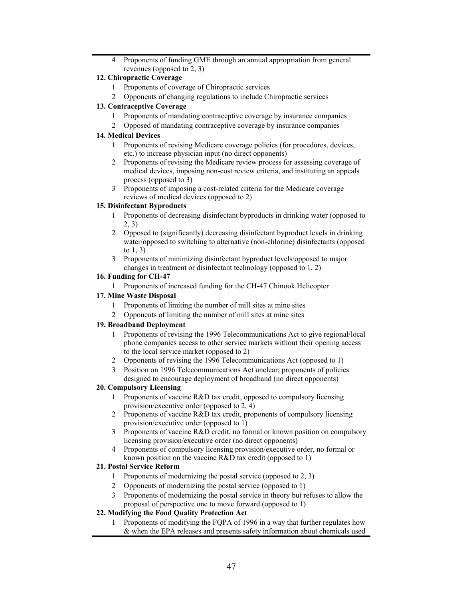4 Proponents of funding GME through an annual appropriation from general revenues (opposed to 2, 3)

# **12. Chiropractic Coverage**

- 1 Proponents of coverage of Chiropractic services
- 2 Opponents of changing regulations to include Chiropractic services

# **13. Contraceptive Coverage**

- 1 Proponents of mandating contraceptive coverage by insurance companies
- 2 Opposed of mandating contraceptive coverage by insurance companies

# **14. Medical Devices**

- 1 Proponents of revising Medicare coverage policies (for procedures, devices, etc.) to increase physician input (no direct opponents)
- 2 Proponents of revising the Medicare review process for assessing coverage of medical devices, imposing non-cost review criteria, and instituting an appeals process (opposed to 3)
- 3 Proponents of imposing a cost-related criteria for the Medicare coverage reviews of medical devices (opposed to 2)

# **15. Disinfectant Byproducts**

- 1 Proponents of decreasing disinfectant byproducts in drinking water (opposed to 2, 3)
- 2 Opposed to (significantly) decreasing disinfectant byproduct levels in drinking water/opposed to switching to alternative (non-chlorine) disinfectants (opposed to 1, 3)
- 3 Proponents of minimizing disinfectant byproduct levels/opposed to major changes in treatment or disinfectant technology (opposed to 1, 2)

# **16. Funding for CH-47**

1 Proponents of increased funding for the CH-47 Chinook Helicopter

# **17. Mine Waste Disposal**

- 1 Proponents of limiting the number of mill sites at mine sites
- 2 Opponents of limiting the number of mill sites at mine sites

#### **19. Broadband Deployment**

- 1 Proponents of revising the 1996 Telecommunications Act to give regional/local phone companies access to other service markets without their opening access to the local service market (opposed to 2)
- 2 Opponents of revising the 1996 Telecommunications Act (opposed to 1)
- 3 Position on 1996 Telecommunications Act unclear; proponents of policies designed to encourage deployment of broadband (no direct opponents)

# **20. Compulsory Licensing**

- 1 Proponents of vaccine R&D tax credit, opposed to compulsory licensing provision/executive order (opposed to 2, 4)
- 2 Proponents of vaccine R&D tax credit, proponents of compulsory licensing provision/executive order (opposed to 1)
- 3 Proponents of vaccine R&D credit, no formal or known position on compulsory licensing provision/executive order (no direct opponents)
- 4 Proponents of compulsory licensing provision/executive order, no formal or known position on the vaccine R&D tax credit (opposed to 1)

#### **21. Postal Service Reform**

- 1 Proponents of modernizing the postal service (opposed to 2, 3)
- 2 Opponents of modernizing the postal service (opposed to 1)
- 3 Proponents of modernizing the postal service in theory but refuses to allow the proposal of perspective one to move forward (opposed to 1)

# **22. Modifying the Food Quality Protection Act**

1 Proponents of modifying the FQPA of 1996 in a way that further regulates how & when the EPA releases and presents safety information about chemicals used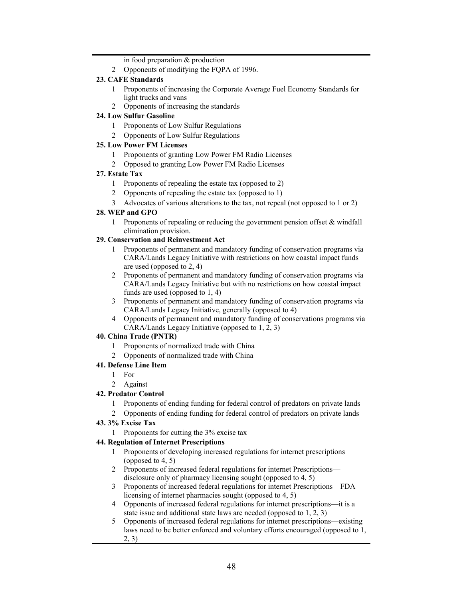in food preparation & production

2 Opponents of modifying the FQPA of 1996.

# **23. CAFE Standards**

- 1 Proponents of increasing the Corporate Average Fuel Economy Standards for light trucks and vans
- 2 Opponents of increasing the standards

# **24. Low Sulfur Gasoline**

- 1 Proponents of Low Sulfur Regulations
- 2 Opponents of Low Sulfur Regulations

# **25. Low Power FM Licenses**

- 1 Proponents of granting Low Power FM Radio Licenses
- 2 Opposed to granting Low Power FM Radio Licenses

# **27. Estate Tax**

- 1 Proponents of repealing the estate tax (opposed to 2)
- 2 Opponents of repealing the estate tax (opposed to 1)
- 3 Advocates of various alterations to the tax, not repeal (not opposed to 1 or 2)

# **28. WEP and GPO**

1 Proponents of repealing or reducing the government pension offset & windfall elimination provision.

# **29. Conservation and Reinvestment Act**

- 1 Proponents of permanent and mandatory funding of conservation programs via CARA/Lands Legacy Initiative with restrictions on how coastal impact funds are used (opposed to 2, 4)
- 2 Proponents of permanent and mandatory funding of conservation programs via CARA/Lands Legacy Initiative but with no restrictions on how coastal impact funds are used (opposed to 1, 4)
- 3 Proponents of permanent and mandatory funding of conservation programs via CARA/Lands Legacy Initiative, generally (opposed to 4)
- 4 Opponents of permanent and mandatory funding of conservations programs via CARA/Lands Legacy Initiative (opposed to 1, 2, 3)

# **40. China Trade (PNTR)**

- 1 Proponents of normalized trade with China
- 2 Opponents of normalized trade with China

# **41. Defense Line Item**

- 1 For
- 2 Against

# **42. Predator Control**

- 1 Proponents of ending funding for federal control of predators on private lands
- 2 Opponents of ending funding for federal control of predators on private lands
- **43. 3% Excise Tax** 
	- 1 Proponents for cutting the 3% excise tax

# **44. Regulation of Internet Prescriptions**

- 1 Proponents of developing increased regulations for internet prescriptions (opposed to 4, 5)
- 2 Proponents of increased federal regulations for internet Prescriptions disclosure only of pharmacy licensing sought (opposed to 4, 5)
- 3 Proponents of increased federal regulations for internet Prescriptions—FDA licensing of internet pharmacies sought (opposed to 4, 5)
- 4 Opponents of increased federal regulations for internet prescriptions—it is a state issue and additional state laws are needed (opposed to 1, 2, 3)
- 5 Opponents of increased federal regulations for internet prescriptions—existing laws need to be better enforced and voluntary efforts encouraged (opposed to 1, 2, 3)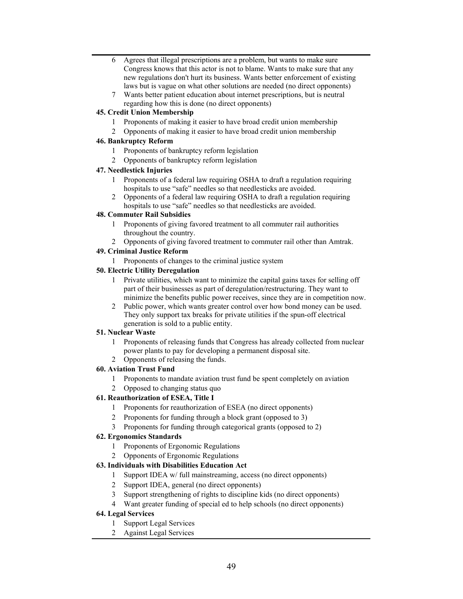- Agrees that illegal prescriptions are a problem, but wants to make sure Congress knows that this actor is not to blame. Wants to make sure that any new regulations don't hurt its business. Wants better enforcement of existing laws but is vague on what other solutions are needed (no direct opponents)
- 7 Wants better patient education about internet prescriptions, but is neutral regarding how this is done (no direct opponents)

# **45. Credit Union Membership**

- 1 Proponents of making it easier to have broad credit union membership
- 2 Opponents of making it easier to have broad credit union membership

#### **46. Bankruptcy Reform**

- 1 Proponents of bankruptcy reform legislation
- 2 Opponents of bankruptcy reform legislation

#### **47. Needlestick Injuries**

- 1 Proponents of a federal law requiring OSHA to draft a regulation requiring hospitals to use "safe" needles so that needlesticks are avoided.
- 2 Opponents of a federal law requiring OSHA to draft a regulation requiring hospitals to use "safe" needles so that needlesticks are avoided.

#### **48. Commuter Rail Subsidies**

- 1 Proponents of giving favored treatment to all commuter rail authorities throughout the country.
- 2 Opponents of giving favored treatment to commuter rail other than Amtrak.

# **49. Criminal Justice Reform**

1 Proponents of changes to the criminal justice system

#### **50. Electric Utility Deregulation**

- 1 Private utilities, which want to minimize the capital gains taxes for selling off part of their businesses as part of deregulation/restructuring. They want to minimize the benefits public power receives, since they are in competition now.
- 2 Public power, which wants greater control over how bond money can be used. They only support tax breaks for private utilities if the spun-off electrical generation is sold to a public entity.

#### **51. Nuclear Waste**

- 1 Proponents of releasing funds that Congress has already collected from nuclear power plants to pay for developing a permanent disposal site.
- 2 Opponents of releasing the funds.

#### **60. Aviation Trust Fund**

- 1 Proponents to mandate aviation trust fund be spent completely on aviation
- 2 Opposed to changing status quo

#### **61. Reauthorization of ESEA, Title I**

- 1 Proponents for reauthorization of ESEA (no direct opponents)
- 2 Proponents for funding through a block grant (opposed to 3)
- 3 Proponents for funding through categorical grants (opposed to 2)

#### **62. Ergonomics Standards**

- 1 Proponents of Ergonomic Regulations
- 2 Opponents of Ergonomic Regulations

#### **63. Individuals with Disabilities Education Act**

- 1 Support IDEA w/ full mainstreaming, access (no direct opponents)
- 2 Support IDEA, general (no direct opponents)
- 3 Support strengthening of rights to discipline kids (no direct opponents)
- 4 Want greater funding of special ed to help schools (no direct opponents)

#### **64. Legal Services**

- 1 Support Legal Services
- 2 Against Legal Services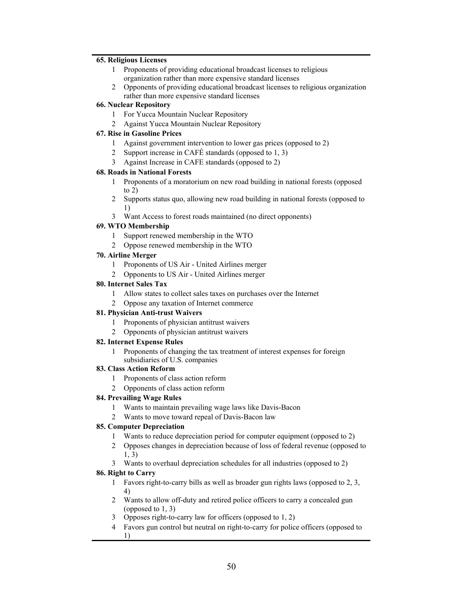# **65. Religious Licenses**

- 1 Proponents of providing educational broadcast licenses to religious organization rather than more expensive standard licenses
- 2 Opponents of providing educational broadcast licenses to religious organization rather than more expensive standard licenses

# **66. Nuclear Repository**

- 1 For Yucca Mountain Nuclear Repository
- 2 Against Yucca Mountain Nuclear Repository

#### **67. Rise in Gasoline Prices**

- 1 Against government intervention to lower gas prices (opposed to 2)
- 2 Support increase in CAFÉ standards (opposed to 1, 3)
- 3 Against Increase in CAFE standards (opposed to 2)

#### **68. Roads in National Forests**

- 1 Proponents of a moratorium on new road building in national forests (opposed to  $2)$
- 2 Supports status quo, allowing new road building in national forests (opposed to 1)
- 3 Want Access to forest roads maintained (no direct opponents)

#### **69. WTO Membership**

- 1 Support renewed membership in the WTO
- 2 Oppose renewed membership in the WTO

#### **70. Airline Merger**

- 1 Proponents of US Air United Airlines merger
- 2 Opponents to US Air United Airlines merger

#### **80. Internet Sales Tax**

- 1 Allow states to collect sales taxes on purchases over the Internet
- 2 Oppose any taxation of Internet commerce

#### **81. Physician Anti-trust Waivers**

- 1 Proponents of physician antitrust waivers
- 2 Opponents of physician antitrust waivers

# **82. Internet Expense Rules**

1 Proponents of changing the tax treatment of interest expenses for foreign subsidiaries of U.S. companies

#### **83. Class Action Reform**

- 1 Proponents of class action reform
- 2 Opponents of class action reform

#### **84. Prevailing Wage Rules**

- 1 Wants to maintain prevailing wage laws like Davis-Bacon
- 2 Wants to move toward repeal of Davis-Bacon law

#### **85. Computer Depreciation**

- 1 Wants to reduce depreciation period for computer equipment (opposed to 2)
- 2 Opposes changes in depreciation because of loss of federal revenue (opposed to 1, 3)
- 3 Wants to overhaul depreciation schedules for all industries (opposed to 2)

#### **86. Right to Carry**

- 1 Favors right-to-carry bills as well as broader gun rights laws (opposed to 2, 3, 4)
- 2 Wants to allow off-duty and retired police officers to carry a concealed gun (opposed to 1, 3)
- 3 Opposes right-to-carry law for officers (opposed to 1, 2)
- 4 Favors gun control but neutral on right-to-carry for police officers (opposed to 1)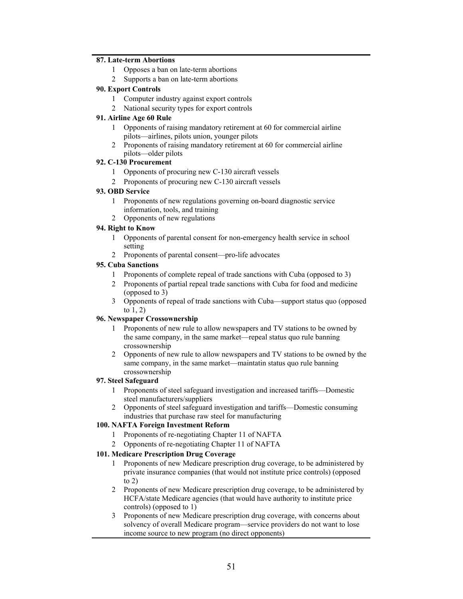#### **87. Late-term Abortions**

- 1 Opposes a ban on late-term abortions
- 2 Supports a ban on late-term abortions

# **90. Export Controls**

- 1 Computer industry against export controls
- 2 National security types for export controls

# **91. Airline Age 60 Rule**

- 1 Opponents of raising mandatory retirement at 60 for commercial airline pilots—airlines, pilots union, younger pilots
- 2 Proponents of raising mandatory retirement at 60 for commercial airline pilots—older pilots

# **92. C-130 Procurement**

- 1 Opponents of procuring new C-130 aircraft vessels
- 2 Proponents of procuring new C-130 aircraft vessels

# **93. OBD Service**

- 1 Proponents of new regulations governing on-board diagnostic service information, tools, and training
- 2 Opponents of new regulations

# **94. Right to Know**

- 1 Opponents of parental consent for non-emergency health service in school setting
- 2 Proponents of parental consent—pro-life advocates

# **95. Cuba Sanctions**

- 1 Proponents of complete repeal of trade sanctions with Cuba (opposed to 3)
- 2 Proponents of partial repeal trade sanctions with Cuba for food and medicine (opposed to 3)
- 3 Opponents of repeal of trade sanctions with Cuba—support status quo (opposed to 1, 2)

#### **96. Newspaper Crossownership**

- 1 Proponents of new rule to allow newspapers and TV stations to be owned by the same company, in the same market—repeal status quo rule banning crossownership
- 2 Opponents of new rule to allow newspapers and TV stations to be owned by the same company, in the same market—maintatin status quo rule banning crossownership

#### **97. Steel Safeguard**

- 1 Proponents of steel safeguard investigation and increased tariffs—Domestic steel manufacturers/suppliers
- 2 Opponents of steel safeguard investigation and tariffs—Domestic consuming industries that purchase raw steel for manufacturing

#### **100. NAFTA Foreign Investment Reform**

- 1 Proponents of re-negotiating Chapter 11 of NAFTA
- 2 Opponents of re-negotiating Chapter 11 of NAFTA

#### **101. Medicare Prescription Drug Coverage**

- 1 Proponents of new Medicare prescription drug coverage, to be administered by private insurance companies (that would not institute price controls) (opposed to  $2)$
- 2 Proponents of new Medicare prescription drug coverage, to be administered by HCFA/state Medicare agencies (that would have authority to institute price controls) (opposed to 1)
- 3 Proponents of new Medicare prescription drug coverage, with concerns about solvency of overall Medicare program—service providers do not want to lose income source to new program (no direct opponents)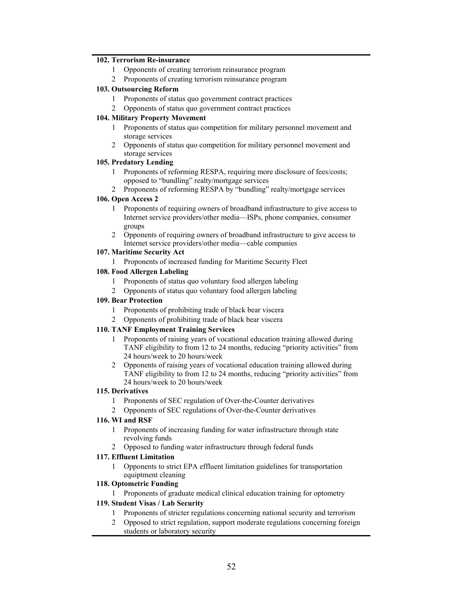# **102. Terrorism Re-insurance**

- 1 Opponents of creating terrorism reinsurance program
- 2 Proponents of creating terrorism reinsurance program

# **103. Outsourcing Reform**

- 1 Proponents of status quo government contract practices
- 2 Opponents of status quo government contract practices

#### **104. Military Property Movement**

- 1 Proponents of status quo competition for military personnel movement and storage services
- 2 Opponents of status quo competition for military personnel movement and storage services

#### **105. Predatory Lending**

- 1 Proponents of reforming RESPA, requiring more disclosure of fees/costs; opposed to "bundling" realty/mortgage services
- 2 Proponents of reforming RESPA by "bundling" realty/mortgage services

#### **106. Open Access 2**

- 1 Proponents of requiring owners of broadband infrastructure to give access to Internet service providers/other media—ISPs, phone companies, consumer groups
- 2 Opponents of requiring owners of broadband infrastructure to give access to Internet service providers/other media—cable companies

#### **107. Maritime Security Act**

1 Proponents of increased funding for Maritime Security Fleet

#### **108. Food Allergen Labeling**

- 1 Proponents of status quo voluntary food allergen labeling
- 2 Opponents of status quo voluntary food allergen labeling

#### **109. Bear Protection**

- 1 Proponents of prohibiting trade of black bear viscera
- 2 Opponents of prohibiting trade of black bear viscera

#### **110. TANF Employment Training Services**

- 1 Proponents of raising years of vocational education training allowed during TANF eligibility to from 12 to 24 months, reducing "priority activities" from 24 hours/week to 20 hours/week
- 2 Opponents of raising years of vocational education training allowed during TANF eligibility to from 12 to 24 months, reducing "priority activities" from 24 hours/week to 20 hours/week

#### **115. Derivatives**

- 1 Proponents of SEC regulation of Over-the-Counter derivatives
- 2 Opponents of SEC regulations of Over-the-Counter derivatives

#### **116. WI and RSF**

- 1 Proponents of increasing funding for water infrastructure through state revolving funds
- 2 Opposed to funding water infrastructure through federal funds

#### **117. Effluent Limitation**

1 Opponents to strict EPA effluent limitation guidelines for transportation equiptment cleaning

#### **118. Optometric Funding**

1 Proponents of graduate medical clinical education training for optometry

#### **119. Student Visas / Lab Security**

- 1 Proponents of stricter regulations concerning national security and terrorism
- 2 Opposed to strict regulation, support moderate regulations concerning foreign students or laboratory security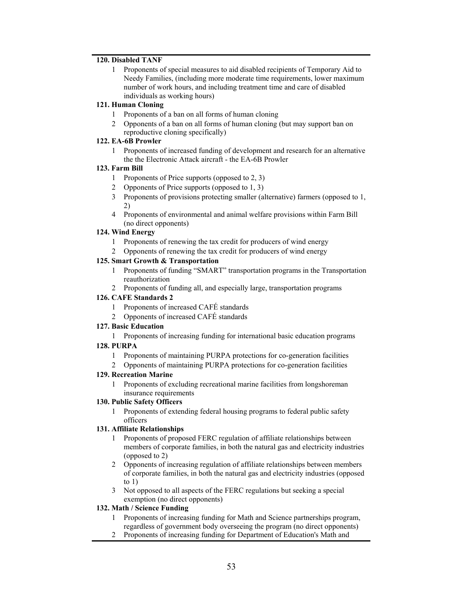# **120. Disabled TANF**

1 Proponents of special measures to aid disabled recipients of Temporary Aid to Needy Families, (including more moderate time requirements, lower maximum number of work hours, and including treatment time and care of disabled individuals as working hours)

# **121. Human Cloning**

- 1 Proponents of a ban on all forms of human cloning
- 2 Opponents of a ban on all forms of human cloning (but may support ban on reproductive cloning specifically)

# **122. EA-6B Prowler**

1 Proponents of increased funding of development and research for an alternative the the Electronic Attack aircraft - the EA-6B Prowler

# **123. Farm Bill**

- 1 Proponents of Price supports (opposed to 2, 3)
- 2 Opponents of Price supports (opposed to 1, 3)
- 3 Proponents of provisions protecting smaller (alternative) farmers (opposed to 1, 2)
- 4 Proponents of environmental and animal welfare provisions within Farm Bill (no direct opponents)

# **124. Wind Energy**

- 1 Proponents of renewing the tax credit for producers of wind energy
- 2 Opponents of renewing the tax credit for producers of wind energy

# **125. Smart Growth & Transportation**

- 1 Proponents of funding "SMART" transportation programs in the Transportation reauthorization
- 2 Proponents of funding all, and especially large, transportation programs

# **126. CAFE Standards 2**

- 1 Proponents of increased CAFÉ standards
- 2 Opponents of increased CAFÉ standards

# **127. Basic Education**

1 Proponents of increasing funding for international basic education programs

# **128. PURPA**

- 1 Proponents of maintaining PURPA protections for co-generation facilities
- 2 Opponents of maintaining PURPA protections for co-generation facilities

# **129. Recreation Marine**

1 Proponents of excluding recreational marine facilities from longshoreman insurance requirements

#### **130. Public Safety Officers**

1 Proponents of extending federal housing programs to federal public safety officers

# **131. Affiliate Relationships**

- 1 Proponents of proposed FERC regulation of affiliate relationships between members of corporate families, in both the natural gas and electricity industries (opposed to 2)
- 2 Opponents of increasing regulation of affiliate relationships between members of corporate families, in both the natural gas and electricity industries (opposed to  $1)$
- 3 Not opposed to all aspects of the FERC regulations but seeking a special exemption (no direct opponents)

# **132. Math / Science Funding**

- 1 Proponents of increasing funding for Math and Science partnerships program, regardless of government body overseeing the program (no direct opponents)
- 2 Proponents of increasing funding for Department of Education's Math and